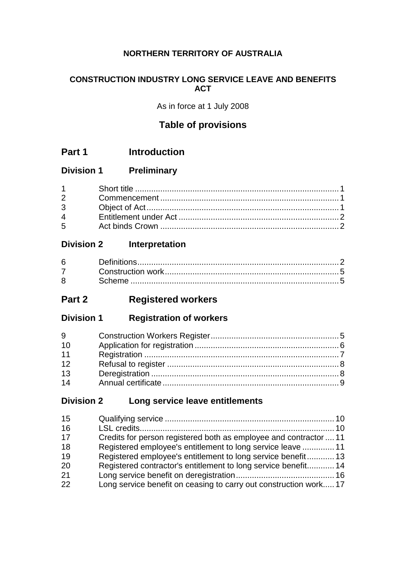## **NORTHERN TERRITORY OF AUSTRALIA**

## **CONSTRUCTION INDUSTRY LONG SERVICE LEAVE AND BENEFITS ACT**

As in force at 1 July 2008

## **Table of provisions**

- **Part 1 Introduction**
- **Division 1 Preliminary**

| $5^{\circ}$ |  |
|-------------|--|

## **Division 2 Interpretation**

## **Part 2 Registered workers**

**Division 1 Registration of workers**

| 9  |  |
|----|--|
| 10 |  |
| 11 |  |
| 12 |  |
| 13 |  |
| 14 |  |

## **Division 2 Long service leave entitlements**

| 15 |                                                                   |  |
|----|-------------------------------------------------------------------|--|
| 16 |                                                                   |  |
| 17 | Credits for person registered both as employee and contractor  11 |  |
| 18 | Registered employee's entitlement to long service leave  11       |  |
| 19 | Registered employee's entitlement to long service benefit13       |  |
| 20 | Registered contractor's entitlement to long service benefit 14    |  |
| 21 |                                                                   |  |
| 22 | Long service benefit on ceasing to carry out construction work 17 |  |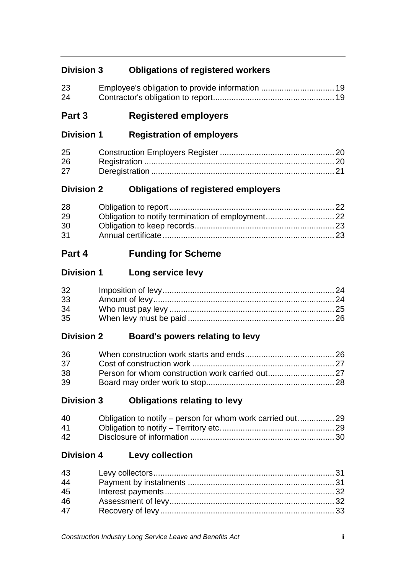## **Division 3 Obligations of registered workers**

| 23 |  |
|----|--|
| 24 |  |

## **Part 3 Registered employers**

## **Division 1 Registration of employers**

| 25 |  |
|----|--|
| 26 |  |
| 27 |  |

## **Division 2 Obligations of registered employers**

| 28 |  |
|----|--|
| 29 |  |
| 30 |  |
| 31 |  |

## **Part 4 Funding for Scheme**

## **Division 1 Long service levy**

| 32 |  |
|----|--|
| 33 |  |
| 34 |  |
| 35 |  |

## **Division 2 Board's powers relating to levy**

| 36 |  |
|----|--|
| 37 |  |
| 38 |  |
| 39 |  |

## **Division 3 Obligations relating to levy**

| 40           |  |
|--------------|--|
| 41           |  |
| $42^{\circ}$ |  |

## **Division 4 Levy collection**

| 43 |  |
|----|--|
| 44 |  |
| 45 |  |
| 46 |  |
| 47 |  |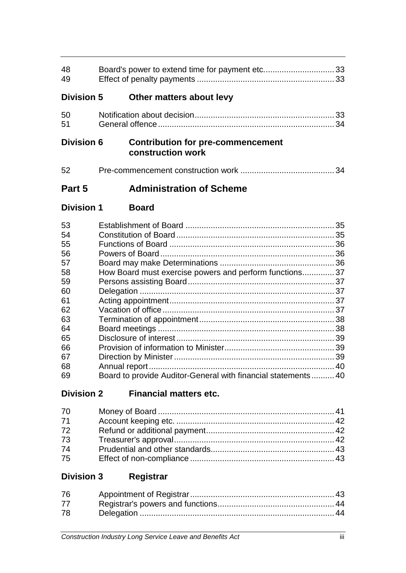| 48<br>49          |                                                               |  |
|-------------------|---------------------------------------------------------------|--|
| <b>Division 5</b> | Other matters about levy                                      |  |
| 50<br>51          |                                                               |  |
| <b>Division 6</b> | <b>Contribution for pre-commencement</b><br>construction work |  |
| 52                |                                                               |  |
| Part 5            | <b>Administration of Scheme</b>                               |  |
| <b>Division 1</b> | <b>Board</b>                                                  |  |
| 53                |                                                               |  |
| 54                |                                                               |  |
| 55                |                                                               |  |
| 56                |                                                               |  |
| 57                |                                                               |  |
| 58                | How Board must exercise powers and perform functions 37       |  |
| 59                |                                                               |  |
| 60                |                                                               |  |
| 61                |                                                               |  |
| 62                |                                                               |  |
| 63<br>64          |                                                               |  |
| 65                |                                                               |  |
| 66                |                                                               |  |
| 67                |                                                               |  |
| 68                |                                                               |  |
| 69                | Board to provide Auditor-General with financial statements40  |  |

# **Division 2 Financial matters etc.**

| 70 |  |
|----|--|
| 71 |  |
| 72 |  |
| 73 |  |
| 74 |  |
| 75 |  |

# **Division 3 Registrar**

| 76 |  |
|----|--|
| 77 |  |
| 78 |  |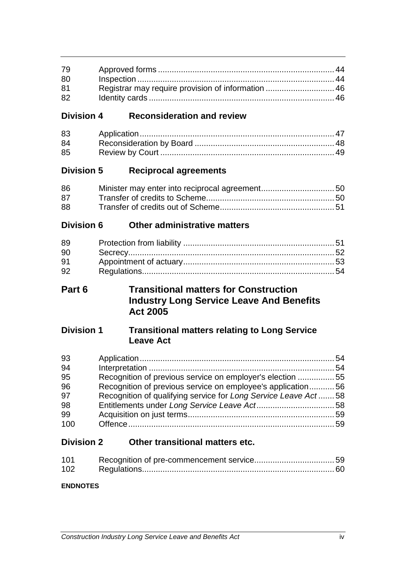| 79 |  |
|----|--|
| 80 |  |
| 81 |  |
| 82 |  |

## **Division 4 Reconsideration and review**

| 83 |  |
|----|--|
| 84 |  |
| 85 |  |

## **Division 5 Reciprocal agreements**

| 86 |  |
|----|--|
| 87 |  |
| 88 |  |

## **Division 6 Other administrative matters**

| 89 |  |
|----|--|
| 90 |  |
| 91 |  |
| 92 |  |

## **Part 6 Transitional matters for Construction Industry Long Service Leave And Benefits Act 2005**

## **Division 1 Transitional matters relating to Long Service Leave Act**

| 93  |                                                                |  |
|-----|----------------------------------------------------------------|--|
| 94  |                                                                |  |
| 95  | Recognition of previous service on employer's election 55      |  |
| 96  | Recognition of previous service on employee's application56    |  |
| 97  | Recognition of qualifying service for Long Service Leave Act58 |  |
| 98  |                                                                |  |
| 99  |                                                                |  |
| 100 |                                                                |  |

## **Division 2 Other transitional matters etc.**

| 101              |  |
|------------------|--|
| 102 <sub>1</sub> |  |

## **ENDNOTES**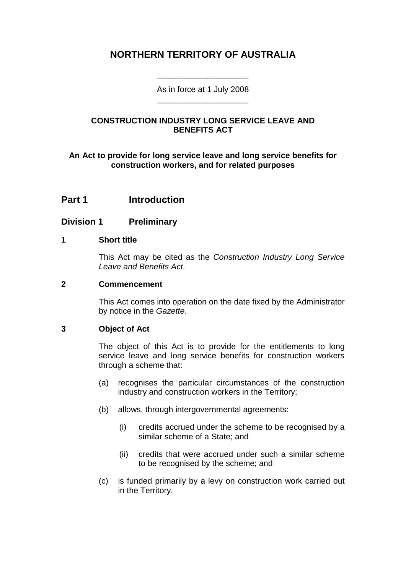## **NORTHERN TERRITORY OF AUSTRALIA**

As in force at 1 July 2008 \_\_\_\_\_\_\_\_\_\_\_\_\_\_\_\_\_\_\_\_

\_\_\_\_\_\_\_\_\_\_\_\_\_\_\_\_\_\_\_\_

## **CONSTRUCTION INDUSTRY LONG SERVICE LEAVE AND BENEFITS ACT**

**An Act to provide for long service leave and long service benefits for construction workers, and for related purposes**

## **Part 1 Introduction**

## **Division 1 Preliminary**

#### **1 Short title**

This Act may be cited as the *Construction Industry Long Service Leave and Benefits Act*.

#### **2 Commencement**

This Act comes into operation on the date fixed by the Administrator by notice in the *Gazette*.

## **3 Object of Act**

The object of this Act is to provide for the entitlements to long service leave and long service benefits for construction workers through a scheme that:

- (a) recognises the particular circumstances of the construction industry and construction workers in the Territory;
- (b) allows, through intergovernmental agreements:
	- (i) credits accrued under the scheme to be recognised by a similar scheme of a State; and
	- (ii) credits that were accrued under such a similar scheme to be recognised by the scheme; and
- (c) is funded primarily by a levy on construction work carried out in the Territory.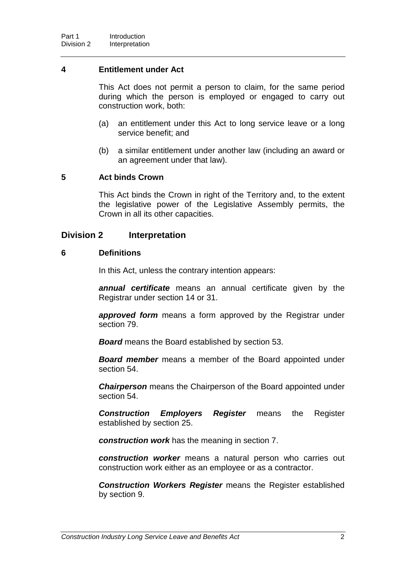#### **4 Entitlement under Act**

This Act does not permit a person to claim, for the same period during which the person is employed or engaged to carry out construction work, both:

- (a) an entitlement under this Act to long service leave or a long service benefit; and
- (b) a similar entitlement under another law (including an award or an agreement under that law).

#### **5 Act binds Crown**

This Act binds the Crown in right of the Territory and, to the extent the legislative power of the Legislative Assembly permits, the Crown in all its other capacities.

## **Division 2 Interpretation**

#### **6 Definitions**

In this Act, unless the contrary intention appears:

*annual certificate* means an annual certificate given by the Registrar under section 14 or 31.

*approved form* means a form approved by the Registrar under section 79.

*Board* means the Board established by section 53.

*Board member* means a member of the Board appointed under section 54.

*Chairperson* means the Chairperson of the Board appointed under section 54.

*Construction Employers Register* means the Register established by section 25.

*construction work* has the meaning in section 7.

*construction worker* means a natural person who carries out construction work either as an employee or as a contractor.

*Construction Workers Register* means the Register established by section 9.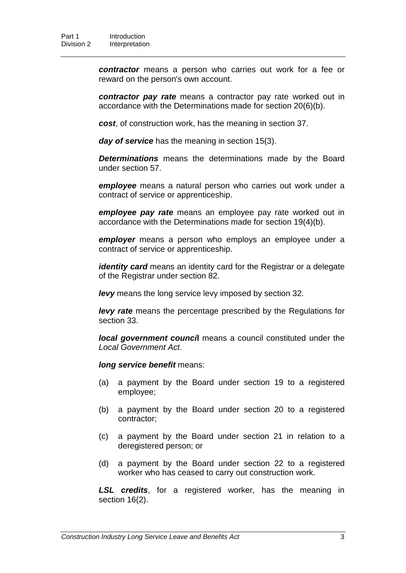*contractor* means a person who carries out work for a fee or reward on the person's own account.

*contractor pay rate* means a contractor pay rate worked out in accordance with the Determinations made for section 20(6)(b).

*cost*, of construction work, has the meaning in section 37.

*day of service* has the meaning in section 15(3).

*Determinations* means the determinations made by the Board under section 57.

*employee* means a natural person who carries out work under a contract of service or apprenticeship.

*employee pay rate* means an employee pay rate worked out in accordance with the Determinations made for section 19(4)(b).

*employer* means a person who employs an employee under a contract of service or apprenticeship.

*identity card* means an identity card for the Registrar or a delegate of the Registrar under section 82.

*levy* means the long service levy imposed by section 32.

*levy rate* means the percentage prescribed by the Regulations for section 33.

*local government counci***l** means a council constituted under the *Local Government Act*.

*long service benefit* means:

- (a) a payment by the Board under section 19 to a registered employee;
- (b) a payment by the Board under section 20 to a registered contractor;
- (c) a payment by the Board under section 21 in relation to a deregistered person; or
- (d) a payment by the Board under section 22 to a registered worker who has ceased to carry out construction work.

*LSL credits*, for a registered worker, has the meaning in section 16(2).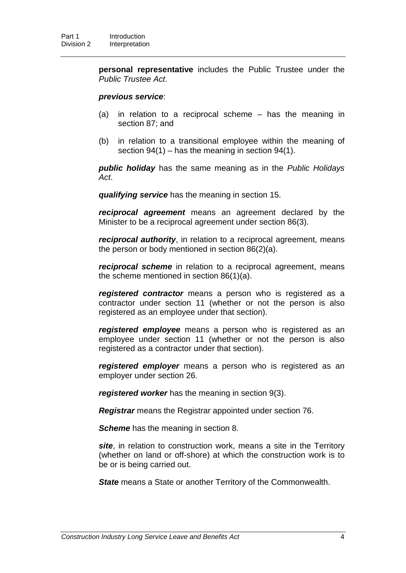**personal representative** includes the Public Trustee under the *Public Trustee Act*.

#### *previous service*:

- (a) in relation to a reciprocal scheme has the meaning in section 87; and
- (b) in relation to a transitional employee within the meaning of section 94(1) – has the meaning in section 94(1).

*public holiday* has the same meaning as in the *Public Holidays Act*.

*qualifying service* has the meaning in section 15.

*reciprocal agreement* means an agreement declared by the Minister to be a reciprocal agreement under section 86(3).

*reciprocal authority*, in relation to a reciprocal agreement, means the person or body mentioned in section 86(2)(a).

*reciprocal scheme* in relation to a reciprocal agreement, means the scheme mentioned in section 86(1)(a).

*registered contractor* means a person who is registered as a contractor under section 11 (whether or not the person is also registered as an employee under that section).

*registered employee* means a person who is registered as an employee under section 11 (whether or not the person is also registered as a contractor under that section).

*registered employer* means a person who is registered as an employer under section 26.

*registered worker* has the meaning in section 9(3).

*Registrar* means the Registrar appointed under section 76.

**Scheme** has the meaning in section 8.

*site*, in relation to construction work, means a site in the Territory (whether on land or off-shore) at which the construction work is to be or is being carried out.

*State* means a State or another Territory of the Commonwealth.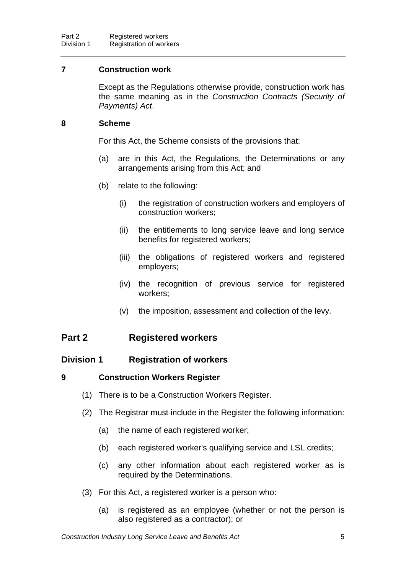## **7 Construction work**

Except as the Regulations otherwise provide, construction work has the same meaning as in the *Construction Contracts (Security of Payments) Act*.

## **8 Scheme**

For this Act, the Scheme consists of the provisions that:

- (a) are in this Act, the Regulations, the Determinations or any arrangements arising from this Act; and
- (b) relate to the following:
	- (i) the registration of construction workers and employers of construction workers;
	- (ii) the entitlements to long service leave and long service benefits for registered workers;
	- (iii) the obligations of registered workers and registered employers;
	- (iv) the recognition of previous service for registered workers;
	- (v) the imposition, assessment and collection of the levy.

## **Part 2 Registered workers**

## **Division 1 Registration of workers**

## **9 Construction Workers Register**

- (1) There is to be a Construction Workers Register.
- (2) The Registrar must include in the Register the following information:
	- (a) the name of each registered worker;
	- (b) each registered worker's qualifying service and LSL credits;
	- (c) any other information about each registered worker as is required by the Determinations.
- (3) For this Act, a registered worker is a person who:
	- (a) is registered as an employee (whether or not the person is also registered as a contractor); or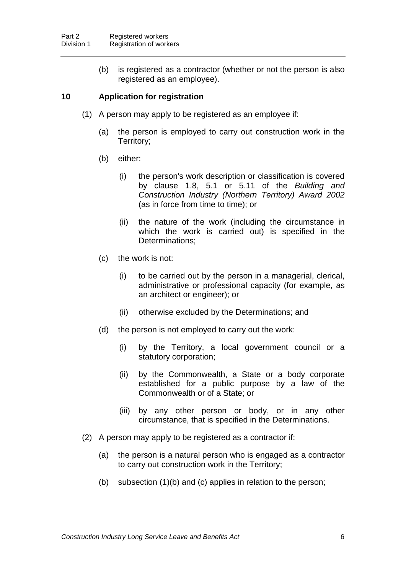(b) is registered as a contractor (whether or not the person is also registered as an employee).

## **10 Application for registration**

- (1) A person may apply to be registered as an employee if:
	- (a) the person is employed to carry out construction work in the Territory;
	- (b) either:
		- (i) the person's work description or classification is covered by clause 1.8, 5.1 or 5.11 of the *Building and Construction Industry (Northern Territory) Award 2002* (as in force from time to time); or
		- (ii) the nature of the work (including the circumstance in which the work is carried out) is specified in the Determinations;
	- (c) the work is not:
		- (i) to be carried out by the person in a managerial, clerical, administrative or professional capacity (for example, as an architect or engineer); or
		- (ii) otherwise excluded by the Determinations; and
	- (d) the person is not employed to carry out the work:
		- (i) by the Territory, a local government council or a statutory corporation;
		- (ii) by the Commonwealth, a State or a body corporate established for a public purpose by a law of the Commonwealth or of a State; or
		- (iii) by any other person or body, or in any other circumstance, that is specified in the Determinations.
- (2) A person may apply to be registered as a contractor if:
	- (a) the person is a natural person who is engaged as a contractor to carry out construction work in the Territory;
	- (b) subsection (1)(b) and (c) applies in relation to the person;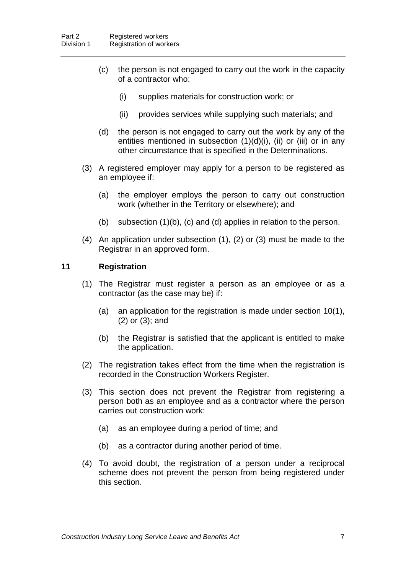- (c) the person is not engaged to carry out the work in the capacity of a contractor who:
	- (i) supplies materials for construction work; or
	- (ii) provides services while supplying such materials; and
- (d) the person is not engaged to carry out the work by any of the entities mentioned in subsection (1)(d)(i), (ii) or (iii) or in any other circumstance that is specified in the Determinations.
- (3) A registered employer may apply for a person to be registered as an employee if:
	- (a) the employer employs the person to carry out construction work (whether in the Territory or elsewhere); and
	- (b) subsection (1)(b), (c) and (d) applies in relation to the person.
- (4) An application under subsection (1), (2) or (3) must be made to the Registrar in an approved form.

#### **11 Registration**

- (1) The Registrar must register a person as an employee or as a contractor (as the case may be) if:
	- (a) an application for the registration is made under section 10(1), (2) or (3); and
	- (b) the Registrar is satisfied that the applicant is entitled to make the application.
- (2) The registration takes effect from the time when the registration is recorded in the Construction Workers Register.
- (3) This section does not prevent the Registrar from registering a person both as an employee and as a contractor where the person carries out construction work:
	- (a) as an employee during a period of time; and
	- (b) as a contractor during another period of time.
- (4) To avoid doubt, the registration of a person under a reciprocal scheme does not prevent the person from being registered under this section.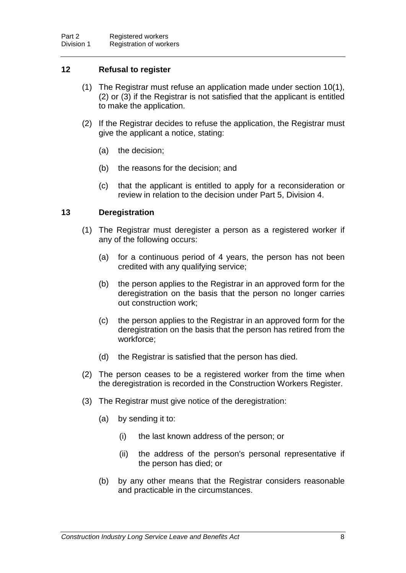## **12 Refusal to register**

- (1) The Registrar must refuse an application made under section 10(1), (2) or (3) if the Registrar is not satisfied that the applicant is entitled to make the application.
- (2) If the Registrar decides to refuse the application, the Registrar must give the applicant a notice, stating:
	- (a) the decision;
	- (b) the reasons for the decision; and
	- (c) that the applicant is entitled to apply for a reconsideration or review in relation to the decision under Part 5, Division 4.

#### **13 Deregistration**

- (1) The Registrar must deregister a person as a registered worker if any of the following occurs:
	- (a) for a continuous period of 4 years, the person has not been credited with any qualifying service;
	- (b) the person applies to the Registrar in an approved form for the deregistration on the basis that the person no longer carries out construction work;
	- (c) the person applies to the Registrar in an approved form for the deregistration on the basis that the person has retired from the workforce;
	- (d) the Registrar is satisfied that the person has died.
- (2) The person ceases to be a registered worker from the time when the deregistration is recorded in the Construction Workers Register.
- (3) The Registrar must give notice of the deregistration:
	- (a) by sending it to:
		- (i) the last known address of the person; or
		- (ii) the address of the person's personal representative if the person has died; or
	- (b) by any other means that the Registrar considers reasonable and practicable in the circumstances.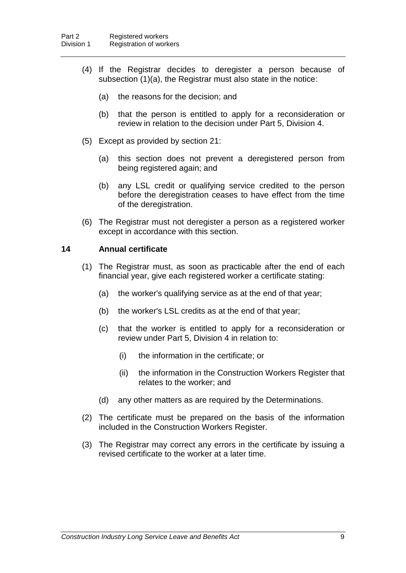- (4) If the Registrar decides to deregister a person because of subsection (1)(a), the Registrar must also state in the notice:
	- (a) the reasons for the decision; and
	- (b) that the person is entitled to apply for a reconsideration or review in relation to the decision under Part 5, Division 4.
- (5) Except as provided by section 21:
	- (a) this section does not prevent a deregistered person from being registered again; and
	- (b) any LSL credit or qualifying service credited to the person before the deregistration ceases to have effect from the time of the deregistration.
- (6) The Registrar must not deregister a person as a registered worker except in accordance with this section.

#### **14 Annual certificate**

- (1) The Registrar must, as soon as practicable after the end of each financial year, give each registered worker a certificate stating:
	- (a) the worker's qualifying service as at the end of that year;
	- (b) the worker's LSL credits as at the end of that year;
	- (c) that the worker is entitled to apply for a reconsideration or review under Part 5, Division 4 in relation to:
		- (i) the information in the certificate; or
		- (ii) the information in the Construction Workers Register that relates to the worker; and
	- (d) any other matters as are required by the Determinations.
- (2) The certificate must be prepared on the basis of the information included in the Construction Workers Register.
- (3) The Registrar may correct any errors in the certificate by issuing a revised certificate to the worker at a later time.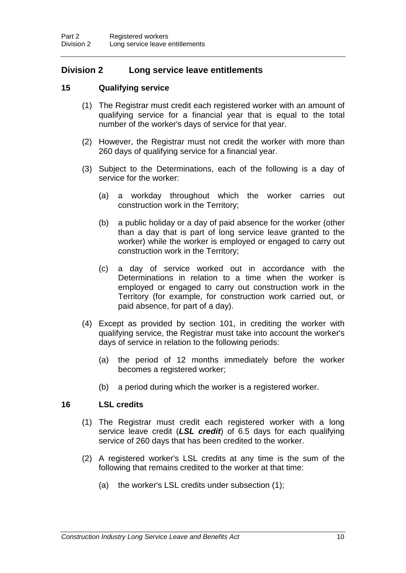## **Division 2 Long service leave entitlements**

## **15 Qualifying service**

- (1) The Registrar must credit each registered worker with an amount of qualifying service for a financial year that is equal to the total number of the worker's days of service for that year.
- (2) However, the Registrar must not credit the worker with more than 260 days of qualifying service for a financial year.
- (3) Subject to the Determinations, each of the following is a day of service for the worker:
	- (a) a workday throughout which the worker carries out construction work in the Territory;
	- (b) a public holiday or a day of paid absence for the worker (other than a day that is part of long service leave granted to the worker) while the worker is employed or engaged to carry out construction work in the Territory;
	- (c) a day of service worked out in accordance with the Determinations in relation to a time when the worker is employed or engaged to carry out construction work in the Territory (for example, for construction work carried out, or paid absence, for part of a day).
- (4) Except as provided by section 101, in crediting the worker with qualifying service, the Registrar must take into account the worker's days of service in relation to the following periods:
	- (a) the period of 12 months immediately before the worker becomes a registered worker;
	- (b) a period during which the worker is a registered worker.

#### **16 LSL credits**

- (1) The Registrar must credit each registered worker with a long service leave credit (*LSL credit*) of 6.5 days for each qualifying service of 260 days that has been credited to the worker.
- (2) A registered worker's LSL credits at any time is the sum of the following that remains credited to the worker at that time:
	- (a) the worker's LSL credits under subsection (1);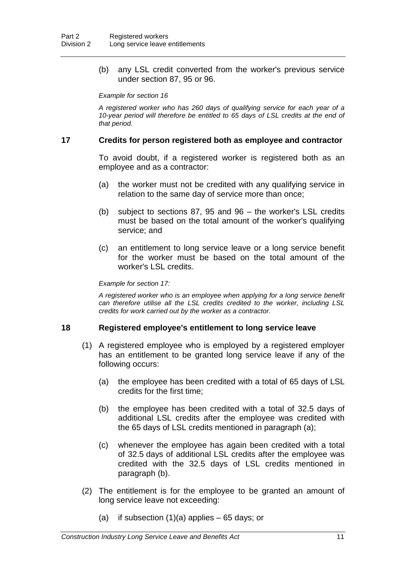(b) any LSL credit converted from the worker's previous service under section 87, 95 or 96.

#### *Example for section 16*

*A registered worker who has 260 days of qualifying service for each year of a 10-year period will therefore be entitled to 65 days of LSL credits at the end of that period.*

#### **17 Credits for person registered both as employee and contractor**

To avoid doubt, if a registered worker is registered both as an employee and as a contractor:

- (a) the worker must not be credited with any qualifying service in relation to the same day of service more than once;
- (b) subject to sections 87, 95 and 96 the worker's LSL credits must be based on the total amount of the worker's qualifying service; and
- (c) an entitlement to long service leave or a long service benefit for the worker must be based on the total amount of the worker's LSL credits.

#### *Example for section 17:*

*A registered worker who is an employee when applying for a long service benefit can therefore utilise all the LSL credits credited to the worker, including LSL credits for work carried out by the worker as a contractor.*

#### **18 Registered employee's entitlement to long service leave**

- (1) A registered employee who is employed by a registered employer has an entitlement to be granted long service leave if any of the following occurs:
	- (a) the employee has been credited with a total of 65 days of LSL credits for the first time;
	- (b) the employee has been credited with a total of 32.5 days of additional LSL credits after the employee was credited with the 65 days of LSL credits mentioned in paragraph (a);
	- (c) whenever the employee has again been credited with a total of 32.5 days of additional LSL credits after the employee was credited with the 32.5 days of LSL credits mentioned in paragraph (b).
- (2) The entitlement is for the employee to be granted an amount of long service leave not exceeding:
	- (a) if subsection  $(1)(a)$  applies 65 days; or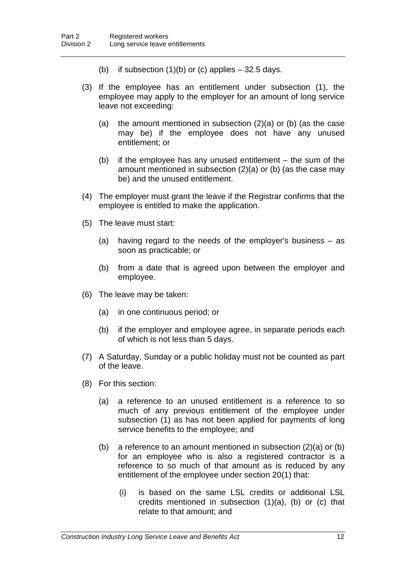- (b) if subsection  $(1)(b)$  or  $(c)$  applies  $-32.5$  days.
- (3) If the employee has an entitlement under subsection (1), the employee may apply to the employer for an amount of long service leave not exceeding:
	- (a) the amount mentioned in subsection (2)(a) or (b) (as the case may be) if the employee does not have any unused entitlement; or
	- (b) if the employee has any unused entitlement the sum of the amount mentioned in subsection (2)(a) or (b) (as the case may be) and the unused entitlement.
- (4) The employer must grant the leave if the Registrar confirms that the employee is entitled to make the application.
- (5) The leave must start:
	- (a) having regard to the needs of the employer's business as soon as practicable; or
	- (b) from a date that is agreed upon between the employer and employee.
- (6) The leave may be taken:
	- (a) in one continuous period; or
	- (b) if the employer and employee agree, in separate periods each of which is not less than 5 days.
- (7) A Saturday, Sunday or a public holiday must not be counted as part of the leave.
- (8) For this section:
	- (a) a reference to an unused entitlement is a reference to so much of any previous entitlement of the employee under subsection (1) as has not been applied for payments of long service benefits to the employee; and
	- (b) a reference to an amount mentioned in subsection (2)(a) or (b) for an employee who is also a registered contractor is a reference to so much of that amount as is reduced by any entitlement of the employee under section 20(1) that:
		- (i) is based on the same LSL credits or additional LSL credits mentioned in subsection (1)(a), (b) or (c) that relate to that amount; and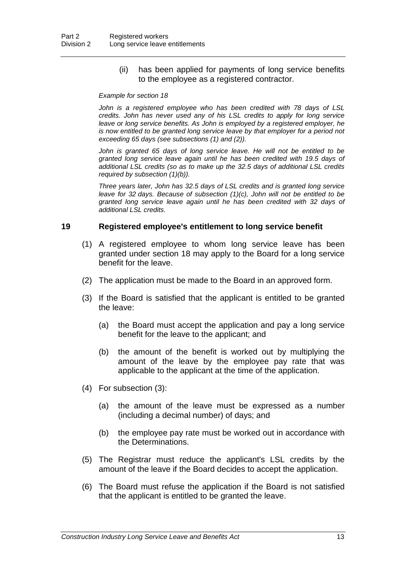(ii) has been applied for payments of long service benefits to the employee as a registered contractor.

#### *Example for section 18*

*John is a registered employee who has been credited with 78 days of LSL credits. John has never used any of his LSL credits to apply for long service leave or long service benefits. As John is employed by a registered employer, he is now entitled to be granted long service leave by that employer for a period not exceeding 65 days (see subsections (1) and (2)).*

John is granted 65 days of long service leave. He will not be entitled to be *granted long service leave again until he has been credited with 19.5 days of additional LSL credits (so as to make up the 32.5 days of additional LSL credits required by subsection (1)(b)).*

*Three years later, John has 32.5 days of LSL credits and is granted long service leave for 32 days. Because of subsection (1)(c), John will not be entitled to be granted long service leave again until he has been credited with 32 days of additional LSL credits.*

#### **19 Registered employee's entitlement to long service benefit**

- (1) A registered employee to whom long service leave has been granted under section 18 may apply to the Board for a long service benefit for the leave.
- (2) The application must be made to the Board in an approved form.
- (3) If the Board is satisfied that the applicant is entitled to be granted the leave:
	- (a) the Board must accept the application and pay a long service benefit for the leave to the applicant; and
	- (b) the amount of the benefit is worked out by multiplying the amount of the leave by the employee pay rate that was applicable to the applicant at the time of the application.
- (4) For subsection (3):
	- (a) the amount of the leave must be expressed as a number (including a decimal number) of days; and
	- (b) the employee pay rate must be worked out in accordance with the Determinations.
- (5) The Registrar must reduce the applicant's LSL credits by the amount of the leave if the Board decides to accept the application.
- (6) The Board must refuse the application if the Board is not satisfied that the applicant is entitled to be granted the leave.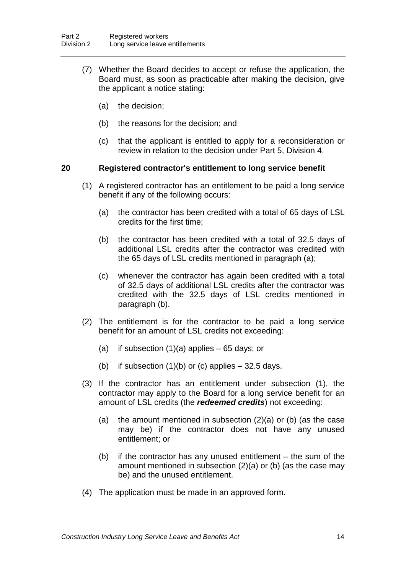- (7) Whether the Board decides to accept or refuse the application, the Board must, as soon as practicable after making the decision, give the applicant a notice stating:
	- (a) the decision;
	- (b) the reasons for the decision; and
	- (c) that the applicant is entitled to apply for a reconsideration or review in relation to the decision under Part 5, Division 4.

## **20 Registered contractor's entitlement to long service benefit**

- (1) A registered contractor has an entitlement to be paid a long service benefit if any of the following occurs:
	- (a) the contractor has been credited with a total of 65 days of LSL credits for the first time;
	- (b) the contractor has been credited with a total of 32.5 days of additional LSL credits after the contractor was credited with the 65 days of LSL credits mentioned in paragraph (a);
	- (c) whenever the contractor has again been credited with a total of 32.5 days of additional LSL credits after the contractor was credited with the 32.5 days of LSL credits mentioned in paragraph (b).
- (2) The entitlement is for the contractor to be paid a long service benefit for an amount of LSL credits not exceeding:
	- (a) if subsection  $(1)(a)$  applies 65 days; or
	- (b) if subsection  $(1)(b)$  or (c) applies  $-32.5$  days.
- (3) If the contractor has an entitlement under subsection (1), the contractor may apply to the Board for a long service benefit for an amount of LSL credits (the *redeemed credits*) not exceeding:
	- (a) the amount mentioned in subsection (2)(a) or (b) (as the case may be) if the contractor does not have any unused entitlement; or
	- (b) if the contractor has any unused entitlement the sum of the amount mentioned in subsection (2)(a) or (b) (as the case may be) and the unused entitlement.
- (4) The application must be made in an approved form.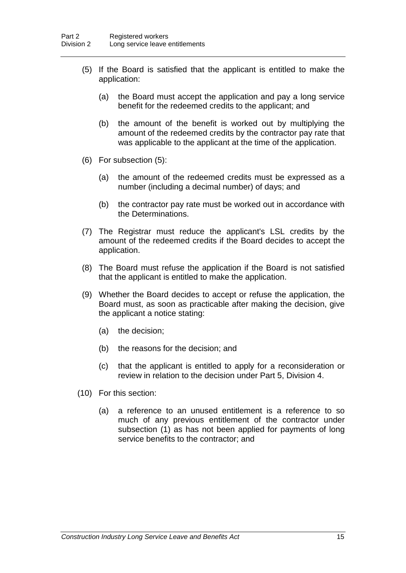- (5) If the Board is satisfied that the applicant is entitled to make the application:
	- (a) the Board must accept the application and pay a long service benefit for the redeemed credits to the applicant; and
	- (b) the amount of the benefit is worked out by multiplying the amount of the redeemed credits by the contractor pay rate that was applicable to the applicant at the time of the application.
- (6) For subsection (5):
	- (a) the amount of the redeemed credits must be expressed as a number (including a decimal number) of days; and
	- (b) the contractor pay rate must be worked out in accordance with the Determinations.
- (7) The Registrar must reduce the applicant's LSL credits by the amount of the redeemed credits if the Board decides to accept the application.
- (8) The Board must refuse the application if the Board is not satisfied that the applicant is entitled to make the application.
- (9) Whether the Board decides to accept or refuse the application, the Board must, as soon as practicable after making the decision, give the applicant a notice stating:
	- (a) the decision;
	- (b) the reasons for the decision; and
	- (c) that the applicant is entitled to apply for a reconsideration or review in relation to the decision under Part 5, Division 4.
- (10) For this section:
	- (a) a reference to an unused entitlement is a reference to so much of any previous entitlement of the contractor under subsection (1) as has not been applied for payments of long service benefits to the contractor; and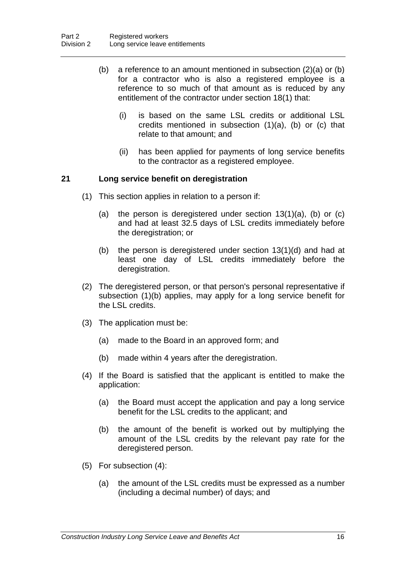- (b) a reference to an amount mentioned in subsection (2)(a) or (b) for a contractor who is also a registered employee is a reference to so much of that amount as is reduced by any entitlement of the contractor under section 18(1) that:
	- (i) is based on the same LSL credits or additional LSL credits mentioned in subsection (1)(a), (b) or (c) that relate to that amount; and
	- (ii) has been applied for payments of long service benefits to the contractor as a registered employee.

## **21 Long service benefit on deregistration**

- (1) This section applies in relation to a person if:
	- (a) the person is deregistered under section  $13(1)(a)$ , (b) or (c) and had at least 32.5 days of LSL credits immediately before the deregistration; or
	- (b) the person is deregistered under section 13(1)(d) and had at least one day of LSL credits immediately before the deregistration.
- (2) The deregistered person, or that person's personal representative if subsection (1)(b) applies, may apply for a long service benefit for the LSL credits.
- (3) The application must be:
	- (a) made to the Board in an approved form; and
	- (b) made within 4 years after the deregistration.
- (4) If the Board is satisfied that the applicant is entitled to make the application:
	- (a) the Board must accept the application and pay a long service benefit for the LSL credits to the applicant; and
	- (b) the amount of the benefit is worked out by multiplying the amount of the LSL credits by the relevant pay rate for the deregistered person.
- (5) For subsection (4):
	- (a) the amount of the LSL credits must be expressed as a number (including a decimal number) of days; and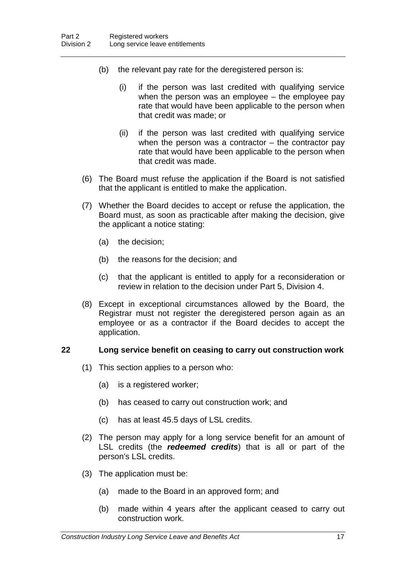- (b) the relevant pay rate for the deregistered person is:
	- (i) if the person was last credited with qualifying service when the person was an employee – the employee pay rate that would have been applicable to the person when that credit was made; or
	- (ii) if the person was last credited with qualifying service when the person was a contractor  $-$  the contractor pay rate that would have been applicable to the person when that credit was made.
- (6) The Board must refuse the application if the Board is not satisfied that the applicant is entitled to make the application.
- (7) Whether the Board decides to accept or refuse the application, the Board must, as soon as practicable after making the decision, give the applicant a notice stating:
	- (a) the decision;
	- (b) the reasons for the decision; and
	- (c) that the applicant is entitled to apply for a reconsideration or review in relation to the decision under Part 5, Division 4.
- (8) Except in exceptional circumstances allowed by the Board, the Registrar must not register the deregistered person again as an employee or as a contractor if the Board decides to accept the application.

## **22 Long service benefit on ceasing to carry out construction work**

- (1) This section applies to a person who:
	- (a) is a registered worker;
	- (b) has ceased to carry out construction work; and
	- (c) has at least 45.5 days of LSL credits.
- (2) The person may apply for a long service benefit for an amount of LSL credits (the *redeemed credits*) that is all or part of the person's LSL credits.
- (3) The application must be:
	- (a) made to the Board in an approved form; and
	- (b) made within 4 years after the applicant ceased to carry out construction work.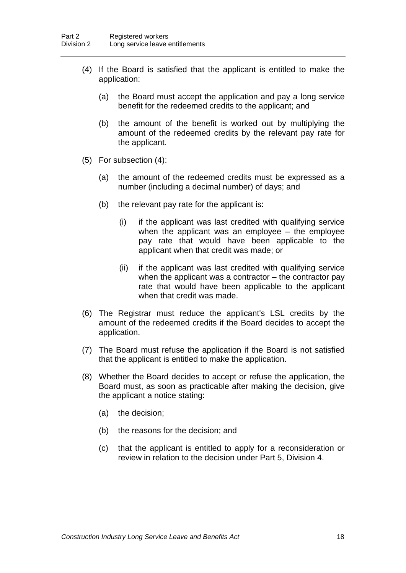- (4) If the Board is satisfied that the applicant is entitled to make the application:
	- (a) the Board must accept the application and pay a long service benefit for the redeemed credits to the applicant; and
	- (b) the amount of the benefit is worked out by multiplying the amount of the redeemed credits by the relevant pay rate for the applicant.
- (5) For subsection (4):
	- (a) the amount of the redeemed credits must be expressed as a number (including a decimal number) of days; and
	- (b) the relevant pay rate for the applicant is:
		- (i) if the applicant was last credited with qualifying service when the applicant was an employee – the employee pay rate that would have been applicable to the applicant when that credit was made; or
		- (ii) if the applicant was last credited with qualifying service when the applicant was a contractor – the contractor pay rate that would have been applicable to the applicant when that credit was made.
- (6) The Registrar must reduce the applicant's LSL credits by the amount of the redeemed credits if the Board decides to accept the application.
- (7) The Board must refuse the application if the Board is not satisfied that the applicant is entitled to make the application.
- (8) Whether the Board decides to accept or refuse the application, the Board must, as soon as practicable after making the decision, give the applicant a notice stating:
	- (a) the decision;
	- (b) the reasons for the decision; and
	- (c) that the applicant is entitled to apply for a reconsideration or review in relation to the decision under Part 5, Division 4.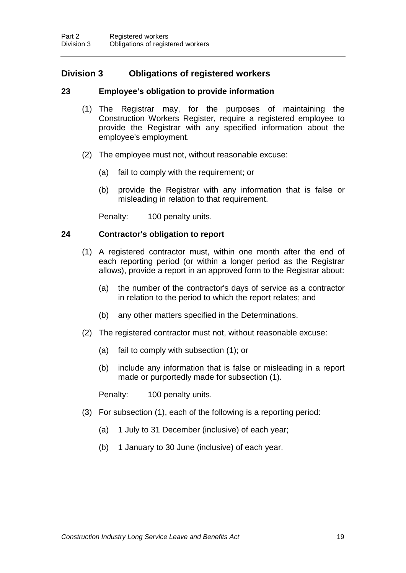## **Division 3 Obligations of registered workers**

## **23 Employee's obligation to provide information**

- (1) The Registrar may, for the purposes of maintaining the Construction Workers Register, require a registered employee to provide the Registrar with any specified information about the employee's employment.
- (2) The employee must not, without reasonable excuse:
	- (a) fail to comply with the requirement; or
	- (b) provide the Registrar with any information that is false or misleading in relation to that requirement.

Penalty: 100 penalty units.

#### **24 Contractor's obligation to report**

- (1) A registered contractor must, within one month after the end of each reporting period (or within a longer period as the Registrar allows), provide a report in an approved form to the Registrar about:
	- (a) the number of the contractor's days of service as a contractor in relation to the period to which the report relates; and
	- (b) any other matters specified in the Determinations.
- (2) The registered contractor must not, without reasonable excuse:
	- (a) fail to comply with subsection (1); or
	- (b) include any information that is false or misleading in a report made or purportedly made for subsection (1).

Penalty: 100 penalty units.

- (3) For subsection (1), each of the following is a reporting period:
	- (a) 1 July to 31 December (inclusive) of each year;
	- (b) 1 January to 30 June (inclusive) of each year.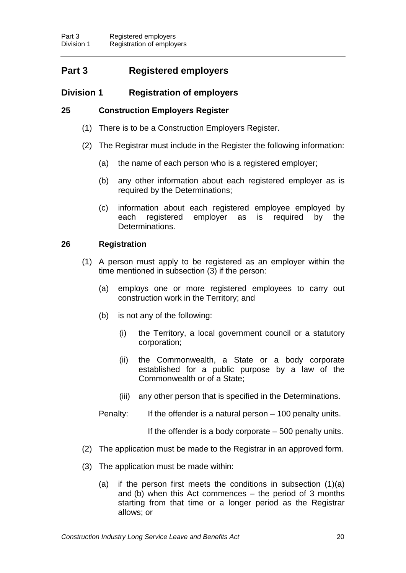## **Part 3 Registered employers**

## **Division 1 Registration of employers**

## **25 Construction Employers Register**

- (1) There is to be a Construction Employers Register.
- (2) The Registrar must include in the Register the following information:
	- (a) the name of each person who is a registered employer;
	- (b) any other information about each registered employer as is required by the Determinations;
	- (c) information about each registered employee employed by each registered employer as is required by the Determinations.

## **26 Registration**

- (1) A person must apply to be registered as an employer within the time mentioned in subsection (3) if the person:
	- (a) employs one or more registered employees to carry out construction work in the Territory; and
	- (b) is not any of the following:
		- (i) the Territory, a local government council or a statutory corporation;
		- (ii) the Commonwealth, a State or a body corporate established for a public purpose by a law of the Commonwealth or of a State;
		- (iii) any other person that is specified in the Determinations.
	- Penalty: If the offender is a natural person 100 penalty units.

If the offender is a body corporate – 500 penalty units.

- (2) The application must be made to the Registrar in an approved form.
- (3) The application must be made within:
	- (a) if the person first meets the conditions in subsection (1)(a) and (b) when this Act commences – the period of 3 months starting from that time or a longer period as the Registrar allows; or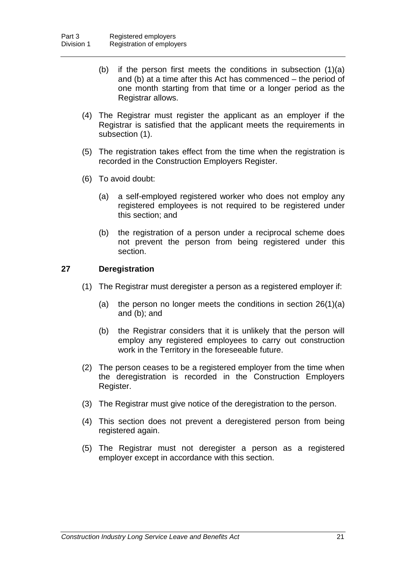- (b) if the person first meets the conditions in subsection (1)(a) and (b) at a time after this Act has commenced – the period of one month starting from that time or a longer period as the Registrar allows.
- (4) The Registrar must register the applicant as an employer if the Registrar is satisfied that the applicant meets the requirements in subsection (1).
- (5) The registration takes effect from the time when the registration is recorded in the Construction Employers Register.
- (6) To avoid doubt:
	- (a) a self-employed registered worker who does not employ any registered employees is not required to be registered under this section; and
	- (b) the registration of a person under a reciprocal scheme does not prevent the person from being registered under this section.

#### **27 Deregistration**

- (1) The Registrar must deregister a person as a registered employer if:
	- (a) the person no longer meets the conditions in section 26(1)(a) and (b); and
	- (b) the Registrar considers that it is unlikely that the person will employ any registered employees to carry out construction work in the Territory in the foreseeable future.
- (2) The person ceases to be a registered employer from the time when the deregistration is recorded in the Construction Employers Register.
- (3) The Registrar must give notice of the deregistration to the person.
- (4) This section does not prevent a deregistered person from being registered again.
- (5) The Registrar must not deregister a person as a registered employer except in accordance with this section.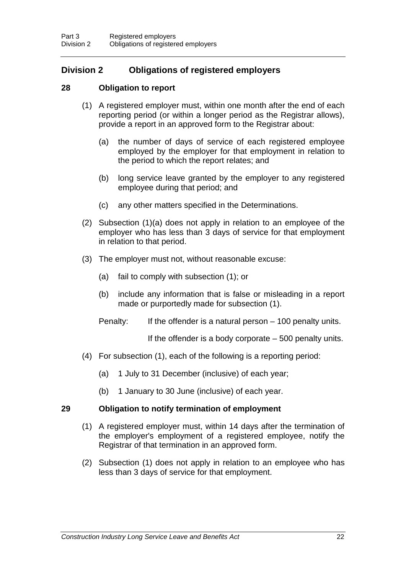## **Division 2 Obligations of registered employers**

## **28 Obligation to report**

- (1) A registered employer must, within one month after the end of each reporting period (or within a longer period as the Registrar allows), provide a report in an approved form to the Registrar about:
	- (a) the number of days of service of each registered employee employed by the employer for that employment in relation to the period to which the report relates; and
	- (b) long service leave granted by the employer to any registered employee during that period; and
	- (c) any other matters specified in the Determinations.
- (2) Subsection (1)(a) does not apply in relation to an employee of the employer who has less than 3 days of service for that employment in relation to that period.
- (3) The employer must not, without reasonable excuse:
	- (a) fail to comply with subsection (1); or
	- (b) include any information that is false or misleading in a report made or purportedly made for subsection (1).
	- Penalty: If the offender is a natural person 100 penalty units.

If the offender is a body corporate – 500 penalty units.

- (4) For subsection (1), each of the following is a reporting period:
	- (a) 1 July to 31 December (inclusive) of each year;
	- (b) 1 January to 30 June (inclusive) of each year.

## **29 Obligation to notify termination of employment**

- (1) A registered employer must, within 14 days after the termination of the employer's employment of a registered employee, notify the Registrar of that termination in an approved form.
- (2) Subsection (1) does not apply in relation to an employee who has less than 3 days of service for that employment.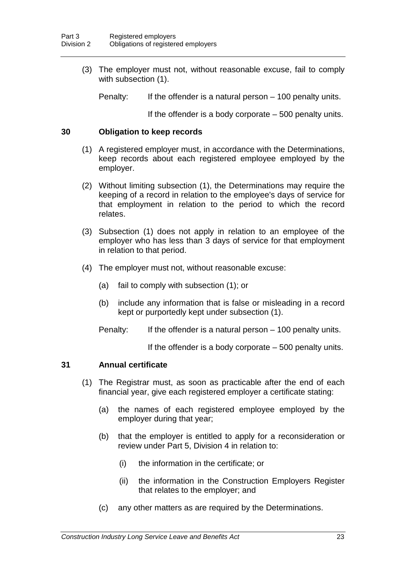(3) The employer must not, without reasonable excuse, fail to comply with subsection (1).

Penalty: If the offender is a natural person – 100 penalty units.

If the offender is a body corporate – 500 penalty units.

#### **30 Obligation to keep records**

- (1) A registered employer must, in accordance with the Determinations, keep records about each registered employee employed by the employer.
- (2) Without limiting subsection (1), the Determinations may require the keeping of a record in relation to the employee's days of service for that employment in relation to the period to which the record relates.
- (3) Subsection (1) does not apply in relation to an employee of the employer who has less than 3 days of service for that employment in relation to that period.
- (4) The employer must not, without reasonable excuse:
	- (a) fail to comply with subsection (1); or
	- (b) include any information that is false or misleading in a record kept or purportedly kept under subsection (1).
	- Penalty: If the offender is a natural person 100 penalty units.

If the offender is a body corporate  $-500$  penalty units.

#### **31 Annual certificate**

- (1) The Registrar must, as soon as practicable after the end of each financial year, give each registered employer a certificate stating:
	- (a) the names of each registered employee employed by the employer during that year;
	- (b) that the employer is entitled to apply for a reconsideration or review under Part 5, Division 4 in relation to:
		- (i) the information in the certificate; or
		- (ii) the information in the Construction Employers Register that relates to the employer; and
	- (c) any other matters as are required by the Determinations.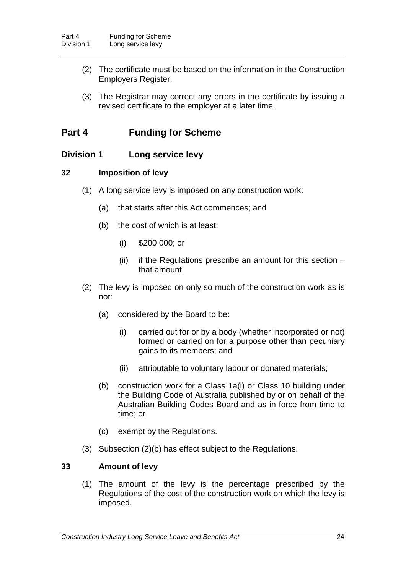- (2) The certificate must be based on the information in the Construction Employers Register.
- (3) The Registrar may correct any errors in the certificate by issuing a revised certificate to the employer at a later time.

## **Part 4 Funding for Scheme**

## **Division 1 Long service levy**

## **32 Imposition of levy**

- (1) A long service levy is imposed on any construction work:
	- (a) that starts after this Act commences; and
	- (b) the cost of which is at least:
		- (i) \$200 000; or
		- (ii) if the Regulations prescribe an amount for this section that amount.
- (2) The levy is imposed on only so much of the construction work as is not:
	- (a) considered by the Board to be:
		- (i) carried out for or by a body (whether incorporated or not) formed or carried on for a purpose other than pecuniary gains to its members; and
		- (ii) attributable to voluntary labour or donated materials;
	- (b) construction work for a Class 1a(i) or Class 10 building under the Building Code of Australia published by or on behalf of the Australian Building Codes Board and as in force from time to time; or
	- (c) exempt by the Regulations.
- (3) Subsection (2)(b) has effect subject to the Regulations.

## **33 Amount of levy**

(1) The amount of the levy is the percentage prescribed by the Regulations of the cost of the construction work on which the levy is imposed.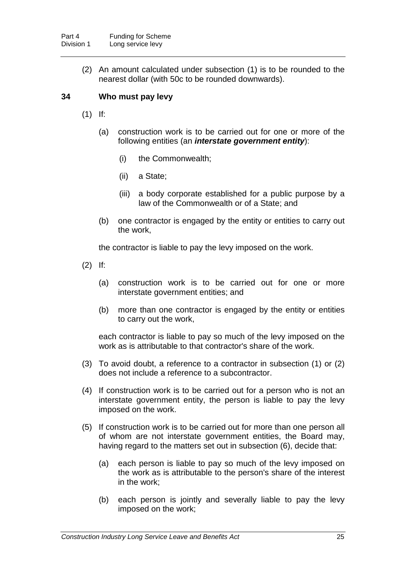(2) An amount calculated under subsection (1) is to be rounded to the nearest dollar (with 50c to be rounded downwards).

## **34 Who must pay levy**

- (1) If:
	- (a) construction work is to be carried out for one or more of the following entities (an *interstate government entity*):
		- (i) the Commonwealth;
		- (ii) a State;
		- (iii) a body corporate established for a public purpose by a law of the Commonwealth or of a State; and
	- (b) one contractor is engaged by the entity or entities to carry out the work,

the contractor is liable to pay the levy imposed on the work.

- (2) If:
	- (a) construction work is to be carried out for one or more interstate government entities; and
	- (b) more than one contractor is engaged by the entity or entities to carry out the work,

each contractor is liable to pay so much of the levy imposed on the work as is attributable to that contractor's share of the work.

- (3) To avoid doubt, a reference to a contractor in subsection (1) or (2) does not include a reference to a subcontractor.
- (4) If construction work is to be carried out for a person who is not an interstate government entity, the person is liable to pay the levy imposed on the work.
- (5) If construction work is to be carried out for more than one person all of whom are not interstate government entities, the Board may, having regard to the matters set out in subsection (6), decide that:
	- (a) each person is liable to pay so much of the levy imposed on the work as is attributable to the person's share of the interest in the work;
	- (b) each person is jointly and severally liable to pay the levy imposed on the work;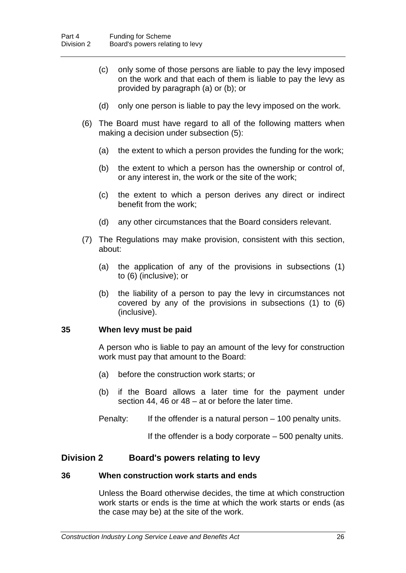- (c) only some of those persons are liable to pay the levy imposed on the work and that each of them is liable to pay the levy as provided by paragraph (a) or (b); or
- (d) only one person is liable to pay the levy imposed on the work.
- (6) The Board must have regard to all of the following matters when making a decision under subsection (5):
	- (a) the extent to which a person provides the funding for the work;
	- (b) the extent to which a person has the ownership or control of, or any interest in, the work or the site of the work;
	- (c) the extent to which a person derives any direct or indirect benefit from the work;
	- (d) any other circumstances that the Board considers relevant.
- (7) The Regulations may make provision, consistent with this section, about:
	- (a) the application of any of the provisions in subsections (1) to (6) (inclusive); or
	- (b) the liability of a person to pay the levy in circumstances not covered by any of the provisions in subsections (1) to (6) (inclusive).

## **35 When levy must be paid**

A person who is liable to pay an amount of the levy for construction work must pay that amount to the Board:

- (a) before the construction work starts; or
- (b) if the Board allows a later time for the payment under section 44, 46 or 48 – at or before the later time.
- Penalty: If the offender is a natural person 100 penalty units.

If the offender is a body corporate  $-500$  penalty units.

## **Division 2 Board's powers relating to levy**

#### **36 When construction work starts and ends**

Unless the Board otherwise decides, the time at which construction work starts or ends is the time at which the work starts or ends (as the case may be) at the site of the work.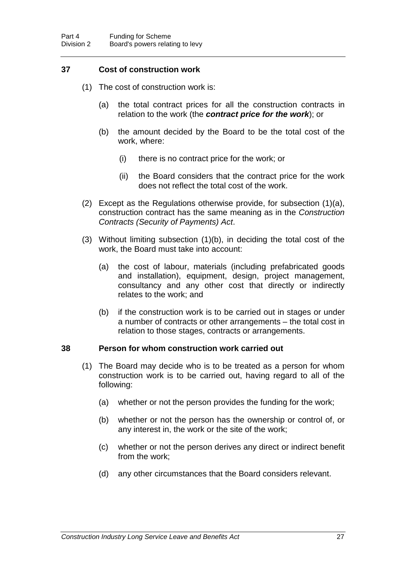## **37 Cost of construction work**

- (1) The cost of construction work is:
	- (a) the total contract prices for all the construction contracts in relation to the work (the *contract price for the work*); or
	- (b) the amount decided by the Board to be the total cost of the work, where:
		- (i) there is no contract price for the work; or
		- (ii) the Board considers that the contract price for the work does not reflect the total cost of the work.
- (2) Except as the Regulations otherwise provide, for subsection (1)(a), construction contract has the same meaning as in the *Construction Contracts (Security of Payments) Act*.
- (3) Without limiting subsection (1)(b), in deciding the total cost of the work, the Board must take into account:
	- (a) the cost of labour, materials (including prefabricated goods and installation), equipment, design, project management, consultancy and any other cost that directly or indirectly relates to the work; and
	- (b) if the construction work is to be carried out in stages or under a number of contracts or other arrangements – the total cost in relation to those stages, contracts or arrangements.

## **38 Person for whom construction work carried out**

- (1) The Board may decide who is to be treated as a person for whom construction work is to be carried out, having regard to all of the following:
	- (a) whether or not the person provides the funding for the work;
	- (b) whether or not the person has the ownership or control of, or any interest in, the work or the site of the work;
	- (c) whether or not the person derives any direct or indirect benefit from the work;
	- (d) any other circumstances that the Board considers relevant.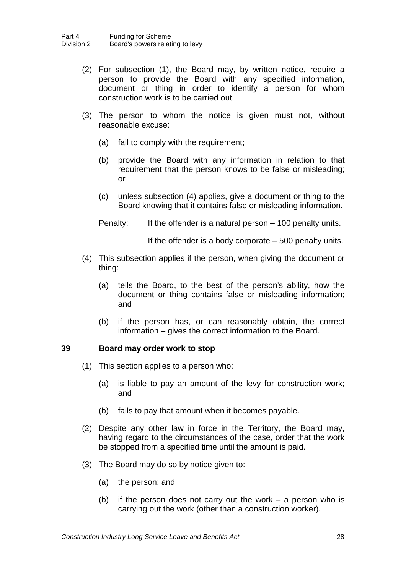- (2) For subsection (1), the Board may, by written notice, require a person to provide the Board with any specified information, document or thing in order to identify a person for whom construction work is to be carried out.
- (3) The person to whom the notice is given must not, without reasonable excuse:
	- (a) fail to comply with the requirement;
	- (b) provide the Board with any information in relation to that requirement that the person knows to be false or misleading; or
	- (c) unless subsection (4) applies, give a document or thing to the Board knowing that it contains false or misleading information.
	- Penalty: If the offender is a natural person 100 penalty units.

If the offender is a body corporate – 500 penalty units.

- (4) This subsection applies if the person, when giving the document or thing:
	- (a) tells the Board, to the best of the person's ability, how the document or thing contains false or misleading information; and
	- (b) if the person has, or can reasonably obtain, the correct information – gives the correct information to the Board.

## **39 Board may order work to stop**

- (1) This section applies to a person who:
	- (a) is liable to pay an amount of the levy for construction work; and
	- (b) fails to pay that amount when it becomes payable.
- (2) Despite any other law in force in the Territory, the Board may, having regard to the circumstances of the case, order that the work be stopped from a specified time until the amount is paid.
- (3) The Board may do so by notice given to:
	- (a) the person; and
	- (b) if the person does not carry out the work a person who is carrying out the work (other than a construction worker).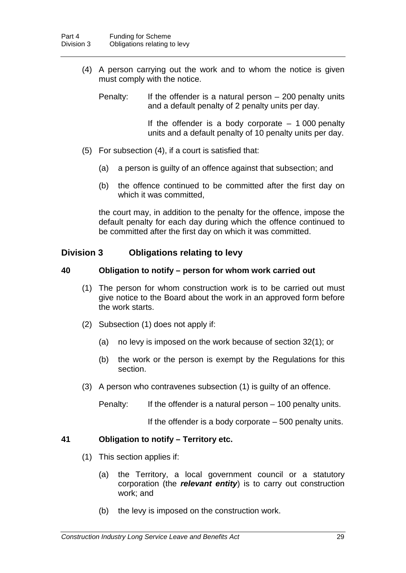(4) A person carrying out the work and to whom the notice is given must comply with the notice.

Penalty: If the offender is a natural person  $-200$  penalty units and a default penalty of 2 penalty units per day.

> If the offender is a body corporate  $-1000$  penalty units and a default penalty of 10 penalty units per day.

- (5) For subsection (4), if a court is satisfied that:
	- (a) a person is guilty of an offence against that subsection; and
	- (b) the offence continued to be committed after the first day on which it was committed,

the court may, in addition to the penalty for the offence, impose the default penalty for each day during which the offence continued to be committed after the first day on which it was committed.

## **Division 3 Obligations relating to levy**

#### **40 Obligation to notify – person for whom work carried out**

- (1) The person for whom construction work is to be carried out must give notice to the Board about the work in an approved form before the work starts.
- (2) Subsection (1) does not apply if:
	- (a) no levy is imposed on the work because of section 32(1); or
	- (b) the work or the person is exempt by the Regulations for this section.
- (3) A person who contravenes subsection (1) is guilty of an offence.

Penalty: If the offender is a natural person – 100 penalty units.

If the offender is a body corporate – 500 penalty units.

## **41 Obligation to notify – Territory etc.**

- (1) This section applies if:
	- (a) the Territory, a local government council or a statutory corporation (the *relevant entity*) is to carry out construction work; and
	- (b) the levy is imposed on the construction work.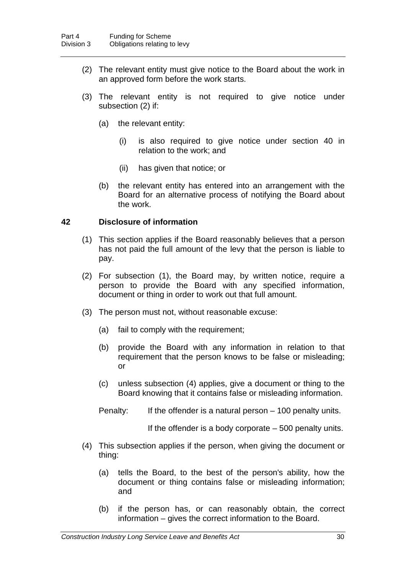- (2) The relevant entity must give notice to the Board about the work in an approved form before the work starts.
- (3) The relevant entity is not required to give notice under subsection (2) if:
	- (a) the relevant entity:
		- (i) is also required to give notice under section 40 in relation to the work; and
		- (ii) has given that notice; or
	- (b) the relevant entity has entered into an arrangement with the Board for an alternative process of notifying the Board about the work.

#### **42 Disclosure of information**

- (1) This section applies if the Board reasonably believes that a person has not paid the full amount of the levy that the person is liable to pay.
- (2) For subsection (1), the Board may, by written notice, require a person to provide the Board with any specified information, document or thing in order to work out that full amount.
- (3) The person must not, without reasonable excuse:
	- (a) fail to comply with the requirement;
	- (b) provide the Board with any information in relation to that requirement that the person knows to be false or misleading; or
	- (c) unless subsection (4) applies, give a document or thing to the Board knowing that it contains false or misleading information.
	- Penalty: If the offender is a natural person 100 penalty units.

If the offender is a body corporate – 500 penalty units.

- (4) This subsection applies if the person, when giving the document or thing:
	- (a) tells the Board, to the best of the person's ability, how the document or thing contains false or misleading information; and
	- (b) if the person has, or can reasonably obtain, the correct information – gives the correct information to the Board.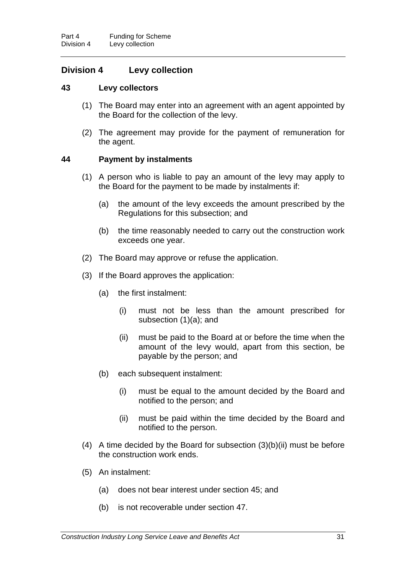## **Division 4 Levy collection**

#### **43 Levy collectors**

- (1) The Board may enter into an agreement with an agent appointed by the Board for the collection of the levy.
- (2) The agreement may provide for the payment of remuneration for the agent.

## **44 Payment by instalments**

- (1) A person who is liable to pay an amount of the levy may apply to the Board for the payment to be made by instalments if:
	- (a) the amount of the levy exceeds the amount prescribed by the Regulations for this subsection; and
	- (b) the time reasonably needed to carry out the construction work exceeds one year.
- (2) The Board may approve or refuse the application.
- (3) If the Board approves the application:
	- (a) the first instalment:
		- (i) must not be less than the amount prescribed for subsection (1)(a); and
		- (ii) must be paid to the Board at or before the time when the amount of the levy would, apart from this section, be payable by the person; and
	- (b) each subsequent instalment:
		- (i) must be equal to the amount decided by the Board and notified to the person; and
		- (ii) must be paid within the time decided by the Board and notified to the person.
- (4) A time decided by the Board for subsection (3)(b)(ii) must be before the construction work ends.
- (5) An instalment:
	- (a) does not bear interest under section 45; and
	- (b) is not recoverable under section 47.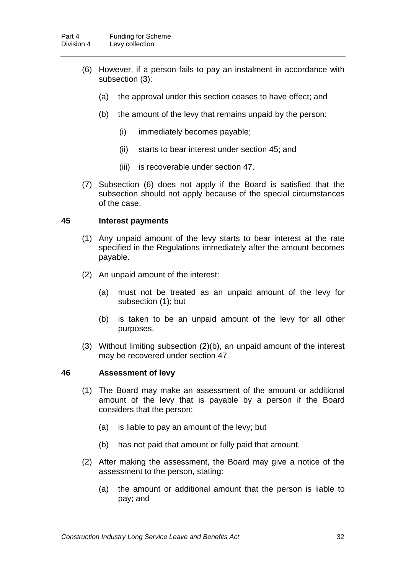- (6) However, if a person fails to pay an instalment in accordance with subsection (3):
	- (a) the approval under this section ceases to have effect; and
	- (b) the amount of the levy that remains unpaid by the person:
		- (i) immediately becomes payable;
		- (ii) starts to bear interest under section 45; and
		- (iii) is recoverable under section 47.
- (7) Subsection (6) does not apply if the Board is satisfied that the subsection should not apply because of the special circumstances of the case.

#### **45 Interest payments**

- (1) Any unpaid amount of the levy starts to bear interest at the rate specified in the Regulations immediately after the amount becomes payable.
- (2) An unpaid amount of the interest:
	- (a) must not be treated as an unpaid amount of the levy for subsection (1); but
	- (b) is taken to be an unpaid amount of the levy for all other purposes.
- (3) Without limiting subsection (2)(b), an unpaid amount of the interest may be recovered under section 47.

#### **46 Assessment of levy**

- (1) The Board may make an assessment of the amount or additional amount of the levy that is payable by a person if the Board considers that the person:
	- (a) is liable to pay an amount of the levy; but
	- (b) has not paid that amount or fully paid that amount.
- (2) After making the assessment, the Board may give a notice of the assessment to the person, stating:
	- (a) the amount or additional amount that the person is liable to pay; and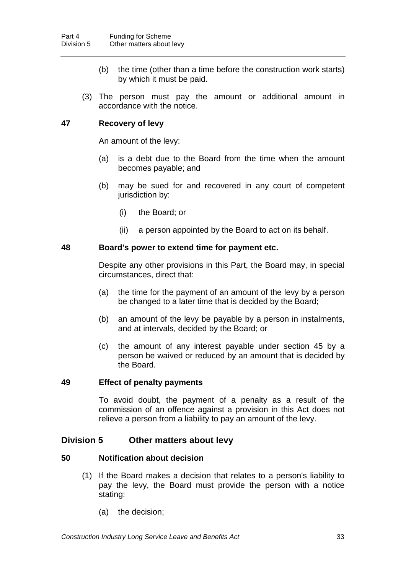- (b) the time (other than a time before the construction work starts) by which it must be paid.
- (3) The person must pay the amount or additional amount in accordance with the notice.

## **47 Recovery of levy**

An amount of the levy:

- (a) is a debt due to the Board from the time when the amount becomes payable; and
- (b) may be sued for and recovered in any court of competent jurisdiction by:
	- (i) the Board; or
	- (ii) a person appointed by the Board to act on its behalf.

#### **48 Board's power to extend time for payment etc.**

Despite any other provisions in this Part, the Board may, in special circumstances, direct that:

- (a) the time for the payment of an amount of the levy by a person be changed to a later time that is decided by the Board;
- (b) an amount of the levy be payable by a person in instalments, and at intervals, decided by the Board; or
- (c) the amount of any interest payable under section 45 by a person be waived or reduced by an amount that is decided by the Board.

## **49 Effect of penalty payments**

To avoid doubt, the payment of a penalty as a result of the commission of an offence against a provision in this Act does not relieve a person from a liability to pay an amount of the levy.

## **Division 5 Other matters about levy**

## **50 Notification about decision**

- (1) If the Board makes a decision that relates to a person's liability to pay the levy, the Board must provide the person with a notice stating:
	- (a) the decision;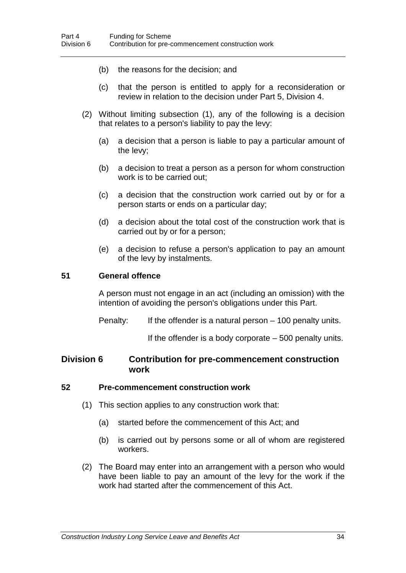- (b) the reasons for the decision; and
- (c) that the person is entitled to apply for a reconsideration or review in relation to the decision under Part 5, Division 4.
- (2) Without limiting subsection (1), any of the following is a decision that relates to a person's liability to pay the levy:
	- (a) a decision that a person is liable to pay a particular amount of the levy;
	- (b) a decision to treat a person as a person for whom construction work is to be carried out;
	- (c) a decision that the construction work carried out by or for a person starts or ends on a particular day;
	- (d) a decision about the total cost of the construction work that is carried out by or for a person;
	- (e) a decision to refuse a person's application to pay an amount of the levy by instalments.

#### **51 General offence**

A person must not engage in an act (including an omission) with the intention of avoiding the person's obligations under this Part.

Penalty: If the offender is a natural person – 100 penalty units.

If the offender is a body corporate – 500 penalty units.

## **Division 6 Contribution for pre-commencement construction work**

#### **52 Pre-commencement construction work**

- (1) This section applies to any construction work that:
	- (a) started before the commencement of this Act; and
	- (b) is carried out by persons some or all of whom are registered workers.
- (2) The Board may enter into an arrangement with a person who would have been liable to pay an amount of the levy for the work if the work had started after the commencement of this Act.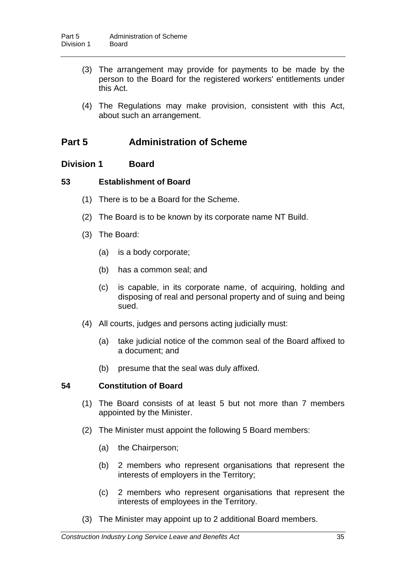- (3) The arrangement may provide for payments to be made by the person to the Board for the registered workers' entitlements under this Act.
- (4) The Regulations may make provision, consistent with this Act, about such an arrangement.

## **Part 5 Administration of Scheme**

## **Division 1 Board**

## **53 Establishment of Board**

- (1) There is to be a Board for the Scheme.
- (2) The Board is to be known by its corporate name NT Build.
- (3) The Board:
	- (a) is a body corporate;
	- (b) has a common seal; and
	- (c) is capable, in its corporate name, of acquiring, holding and disposing of real and personal property and of suing and being sued.
- (4) All courts, judges and persons acting judicially must:
	- (a) take judicial notice of the common seal of the Board affixed to a document; and
	- (b) presume that the seal was duly affixed.

## **54 Constitution of Board**

- (1) The Board consists of at least 5 but not more than 7 members appointed by the Minister.
- (2) The Minister must appoint the following 5 Board members:
	- (a) the Chairperson;
	- (b) 2 members who represent organisations that represent the interests of employers in the Territory;
	- (c) 2 members who represent organisations that represent the interests of employees in the Territory.
- (3) The Minister may appoint up to 2 additional Board members.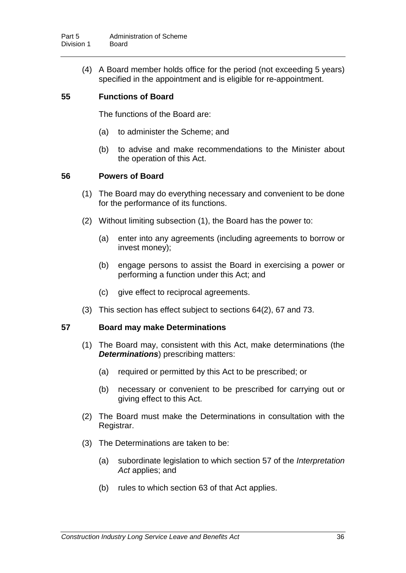(4) A Board member holds office for the period (not exceeding 5 years) specified in the appointment and is eligible for re-appointment.

## **55 Functions of Board**

The functions of the Board are:

- (a) to administer the Scheme; and
- (b) to advise and make recommendations to the Minister about the operation of this Act.

## **56 Powers of Board**

- (1) The Board may do everything necessary and convenient to be done for the performance of its functions.
- (2) Without limiting subsection (1), the Board has the power to:
	- (a) enter into any agreements (including agreements to borrow or invest money);
	- (b) engage persons to assist the Board in exercising a power or performing a function under this Act; and
	- (c) give effect to reciprocal agreements.
- (3) This section has effect subject to sections 64(2), 67 and 73.

## **57 Board may make Determinations**

- (1) The Board may, consistent with this Act, make determinations (the *Determinations*) prescribing matters:
	- (a) required or permitted by this Act to be prescribed; or
	- (b) necessary or convenient to be prescribed for carrying out or giving effect to this Act.
- (2) The Board must make the Determinations in consultation with the Registrar.
- (3) The Determinations are taken to be:
	- (a) subordinate legislation to which section 57 of the *Interpretation Act* applies; and
	- (b) rules to which section 63 of that Act applies.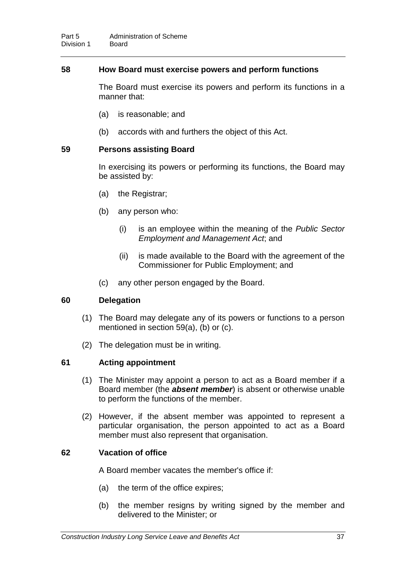## **58 How Board must exercise powers and perform functions**

The Board must exercise its powers and perform its functions in a manner that:

- (a) is reasonable; and
- (b) accords with and furthers the object of this Act.

#### **59 Persons assisting Board**

In exercising its powers or performing its functions, the Board may be assisted by:

- (a) the Registrar;
- (b) any person who:
	- (i) is an employee within the meaning of the *Public Sector Employment and Management Act*; and
	- (ii) is made available to the Board with the agreement of the Commissioner for Public Employment; and
- (c) any other person engaged by the Board.

#### **60 Delegation**

- (1) The Board may delegate any of its powers or functions to a person mentioned in section 59(a), (b) or (c).
- (2) The delegation must be in writing.

## **61 Acting appointment**

- (1) The Minister may appoint a person to act as a Board member if a Board member (the *absent member*) is absent or otherwise unable to perform the functions of the member.
- (2) However, if the absent member was appointed to represent a particular organisation, the person appointed to act as a Board member must also represent that organisation.

## **62 Vacation of office**

A Board member vacates the member's office if:

- (a) the term of the office expires;
- (b) the member resigns by writing signed by the member and delivered to the Minister; or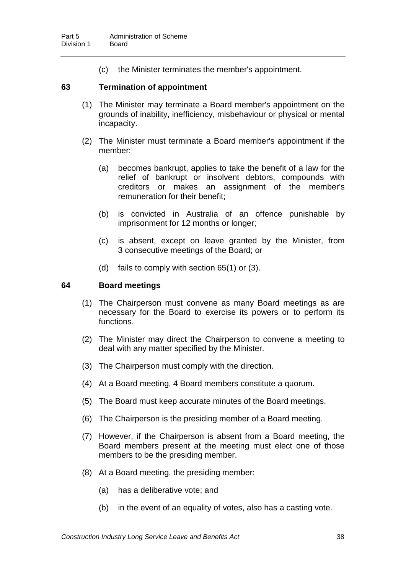(c) the Minister terminates the member's appointment.

#### **63 Termination of appointment**

- (1) The Minister may terminate a Board member's appointment on the grounds of inability, inefficiency, misbehaviour or physical or mental incapacity.
- (2) The Minister must terminate a Board member's appointment if the member:
	- (a) becomes bankrupt, applies to take the benefit of a law for the relief of bankrupt or insolvent debtors, compounds with creditors or makes an assignment of the member's remuneration for their benefit;
	- (b) is convicted in Australia of an offence punishable by imprisonment for 12 months or longer;
	- (c) is absent, except on leave granted by the Minister, from 3 consecutive meetings of the Board; or
	- (d) fails to comply with section 65(1) or (3).

### **64 Board meetings**

- (1) The Chairperson must convene as many Board meetings as are necessary for the Board to exercise its powers or to perform its functions.
- (2) The Minister may direct the Chairperson to convene a meeting to deal with any matter specified by the Minister.
- (3) The Chairperson must comply with the direction.
- (4) At a Board meeting, 4 Board members constitute a quorum.
- (5) The Board must keep accurate minutes of the Board meetings.
- (6) The Chairperson is the presiding member of a Board meeting.
- (7) However, if the Chairperson is absent from a Board meeting, the Board members present at the meeting must elect one of those members to be the presiding member.
- (8) At a Board meeting, the presiding member:
	- (a) has a deliberative vote; and
	- (b) in the event of an equality of votes, also has a casting vote.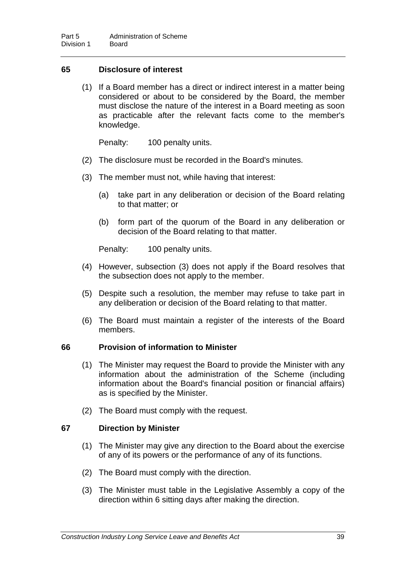## **65 Disclosure of interest**

(1) If a Board member has a direct or indirect interest in a matter being considered or about to be considered by the Board, the member must disclose the nature of the interest in a Board meeting as soon as practicable after the relevant facts come to the member's knowledge.

Penalty: 100 penalty units.

- (2) The disclosure must be recorded in the Board's minutes.
- (3) The member must not, while having that interest:
	- (a) take part in any deliberation or decision of the Board relating to that matter; or
	- (b) form part of the quorum of the Board in any deliberation or decision of the Board relating to that matter.

Penalty: 100 penalty units.

- (4) However, subsection (3) does not apply if the Board resolves that the subsection does not apply to the member.
- (5) Despite such a resolution, the member may refuse to take part in any deliberation or decision of the Board relating to that matter.
- (6) The Board must maintain a register of the interests of the Board members.

### **66 Provision of information to Minister**

- (1) The Minister may request the Board to provide the Minister with any information about the administration of the Scheme (including information about the Board's financial position or financial affairs) as is specified by the Minister.
- (2) The Board must comply with the request.

## **67 Direction by Minister**

- (1) The Minister may give any direction to the Board about the exercise of any of its powers or the performance of any of its functions.
- (2) The Board must comply with the direction.
- (3) The Minister must table in the Legislative Assembly a copy of the direction within 6 sitting days after making the direction.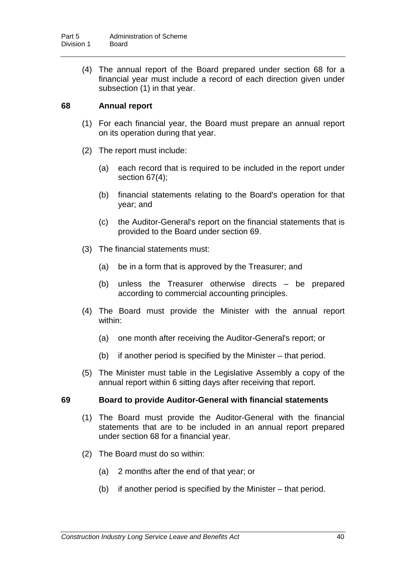(4) The annual report of the Board prepared under section 68 for a financial year must include a record of each direction given under subsection (1) in that year.

## **68 Annual report**

- (1) For each financial year, the Board must prepare an annual report on its operation during that year.
- (2) The report must include:
	- (a) each record that is required to be included in the report under section 67(4);
	- (b) financial statements relating to the Board's operation for that year; and
	- (c) the Auditor-General's report on the financial statements that is provided to the Board under section 69.
- (3) The financial statements must:
	- (a) be in a form that is approved by the Treasurer; and
	- (b) unless the Treasurer otherwise directs be prepared according to commercial accounting principles.
- (4) The Board must provide the Minister with the annual report within:
	- (a) one month after receiving the Auditor-General's report; or
	- (b) if another period is specified by the Minister that period.
- (5) The Minister must table in the Legislative Assembly a copy of the annual report within 6 sitting days after receiving that report.

## **69 Board to provide Auditor-General with financial statements**

- (1) The Board must provide the Auditor-General with the financial statements that are to be included in an annual report prepared under section 68 for a financial year.
- (2) The Board must do so within:
	- (a) 2 months after the end of that year; or
	- (b) if another period is specified by the Minister that period.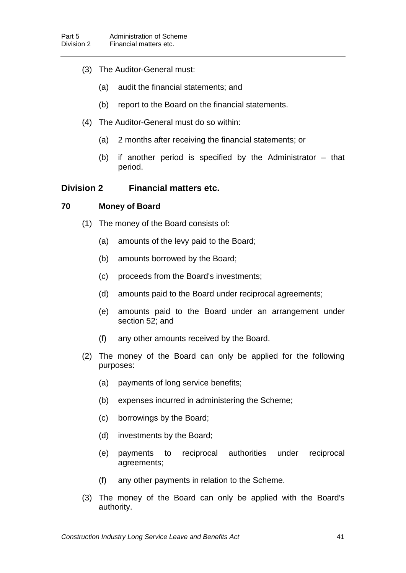- (3) The Auditor-General must:
	- (a) audit the financial statements; and
	- (b) report to the Board on the financial statements.
- (4) The Auditor-General must do so within:
	- (a) 2 months after receiving the financial statements; or
	- (b) if another period is specified by the Administrator that period.

## **Division 2 Financial matters etc.**

## **70 Money of Board**

- (1) The money of the Board consists of:
	- (a) amounts of the levy paid to the Board;
	- (b) amounts borrowed by the Board;
	- (c) proceeds from the Board's investments;
	- (d) amounts paid to the Board under reciprocal agreements;
	- (e) amounts paid to the Board under an arrangement under section 52; and
	- (f) any other amounts received by the Board.
- (2) The money of the Board can only be applied for the following purposes:
	- (a) payments of long service benefits;
	- (b) expenses incurred in administering the Scheme;
	- (c) borrowings by the Board;
	- (d) investments by the Board;
	- (e) payments to reciprocal authorities under reciprocal agreements;
	- (f) any other payments in relation to the Scheme.
- (3) The money of the Board can only be applied with the Board's authority.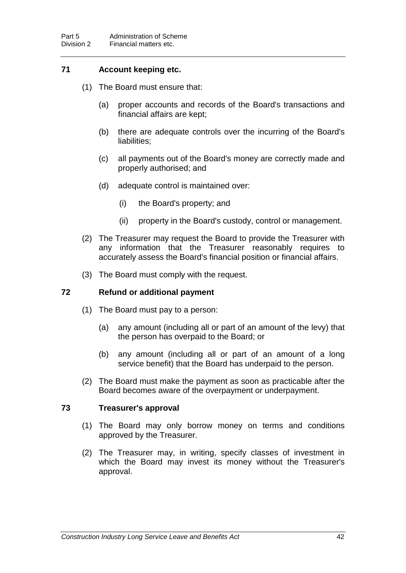## **71 Account keeping etc.**

- (1) The Board must ensure that:
	- (a) proper accounts and records of the Board's transactions and financial affairs are kept;
	- (b) there are adequate controls over the incurring of the Board's liabilities;
	- (c) all payments out of the Board's money are correctly made and properly authorised; and
	- (d) adequate control is maintained over:
		- (i) the Board's property; and
		- (ii) property in the Board's custody, control or management.
- (2) The Treasurer may request the Board to provide the Treasurer with any information that the Treasurer reasonably requires to accurately assess the Board's financial position or financial affairs.
- (3) The Board must comply with the request.

#### **72 Refund or additional payment**

- (1) The Board must pay to a person:
	- (a) any amount (including all or part of an amount of the levy) that the person has overpaid to the Board; or
	- (b) any amount (including all or part of an amount of a long service benefit) that the Board has underpaid to the person.
- (2) The Board must make the payment as soon as practicable after the Board becomes aware of the overpayment or underpayment.

#### **73 Treasurer's approval**

- (1) The Board may only borrow money on terms and conditions approved by the Treasurer.
- (2) The Treasurer may, in writing, specify classes of investment in which the Board may invest its money without the Treasurer's approval.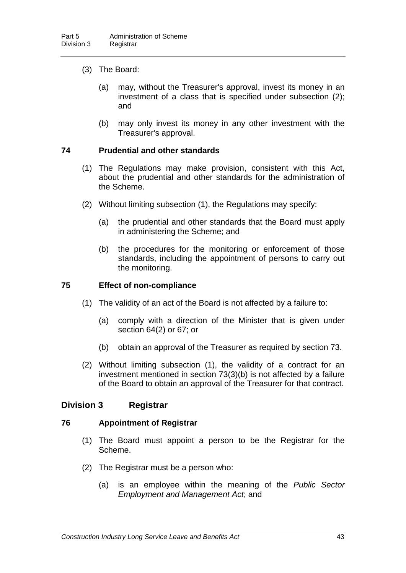- (3) The Board:
	- (a) may, without the Treasurer's approval, invest its money in an investment of a class that is specified under subsection (2); and
	- (b) may only invest its money in any other investment with the Treasurer's approval.

## **74 Prudential and other standards**

- (1) The Regulations may make provision, consistent with this Act, about the prudential and other standards for the administration of the Scheme.
- (2) Without limiting subsection (1), the Regulations may specify:
	- (a) the prudential and other standards that the Board must apply in administering the Scheme; and
	- (b) the procedures for the monitoring or enforcement of those standards, including the appointment of persons to carry out the monitoring.

### **75 Effect of non-compliance**

- (1) The validity of an act of the Board is not affected by a failure to:
	- (a) comply with a direction of the Minister that is given under section 64(2) or 67; or
	- (b) obtain an approval of the Treasurer as required by section 73.
- (2) Without limiting subsection (1), the validity of a contract for an investment mentioned in section 73(3)(b) is not affected by a failure of the Board to obtain an approval of the Treasurer for that contract.

## **Division 3 Registrar**

#### **76 Appointment of Registrar**

- (1) The Board must appoint a person to be the Registrar for the Scheme.
- (2) The Registrar must be a person who:
	- (a) is an employee within the meaning of the *Public Sector Employment and Management Act*; and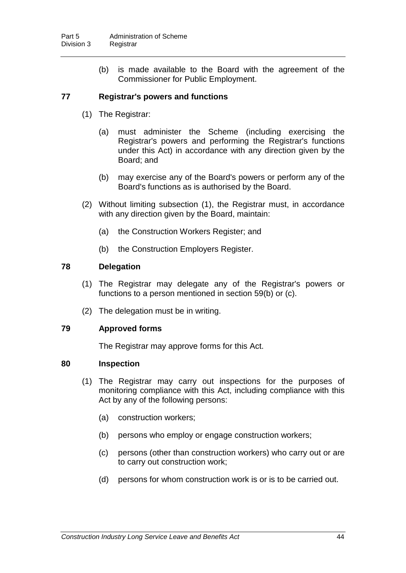(b) is made available to the Board with the agreement of the Commissioner for Public Employment.

## **77 Registrar's powers and functions**

- (1) The Registrar:
	- (a) must administer the Scheme (including exercising the Registrar's powers and performing the Registrar's functions under this Act) in accordance with any direction given by the Board; and
	- (b) may exercise any of the Board's powers or perform any of the Board's functions as is authorised by the Board.
- (2) Without limiting subsection (1), the Registrar must, in accordance with any direction given by the Board, maintain:
	- (a) the Construction Workers Register; and
	- (b) the Construction Employers Register.

#### **78 Delegation**

- (1) The Registrar may delegate any of the Registrar's powers or functions to a person mentioned in section 59(b) or (c).
- (2) The delegation must be in writing.

## **79 Approved forms**

The Registrar may approve forms for this Act.

#### **80 Inspection**

- (1) The Registrar may carry out inspections for the purposes of monitoring compliance with this Act, including compliance with this Act by any of the following persons:
	- (a) construction workers;
	- (b) persons who employ or engage construction workers;
	- (c) persons (other than construction workers) who carry out or are to carry out construction work;
	- (d) persons for whom construction work is or is to be carried out.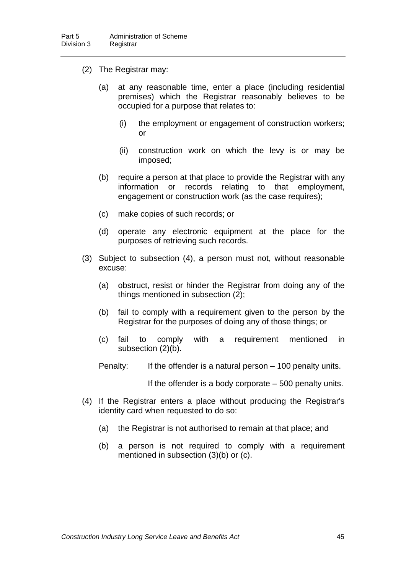- (2) The Registrar may:
	- (a) at any reasonable time, enter a place (including residential premises) which the Registrar reasonably believes to be occupied for a purpose that relates to:
		- (i) the employment or engagement of construction workers; or
		- (ii) construction work on which the levy is or may be imposed;
	- (b) require a person at that place to provide the Registrar with any<br>information or records relating to that employment. relating to that employment, engagement or construction work (as the case requires);
	- (c) make copies of such records; or
	- (d) operate any electronic equipment at the place for the purposes of retrieving such records.
- (3) Subject to subsection (4), a person must not, without reasonable excuse:
	- (a) obstruct, resist or hinder the Registrar from doing any of the things mentioned in subsection (2);
	- (b) fail to comply with a requirement given to the person by the Registrar for the purposes of doing any of those things; or
	- (c) fail to comply with a requirement mentioned in subsection (2)(b).
	- Penalty: If the offender is a natural person 100 penalty units.

If the offender is a body corporate – 500 penalty units.

- (4) If the Registrar enters a place without producing the Registrar's identity card when requested to do so:
	- (a) the Registrar is not authorised to remain at that place; and
	- (b) a person is not required to comply with a requirement mentioned in subsection (3)(b) or (c).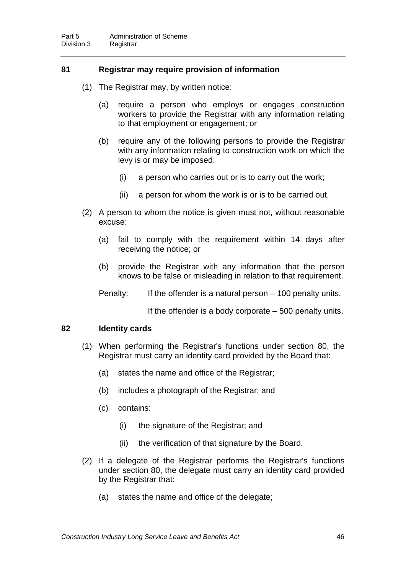## **81 Registrar may require provision of information**

- (1) The Registrar may, by written notice:
	- (a) require a person who employs or engages construction workers to provide the Registrar with any information relating to that employment or engagement; or
	- (b) require any of the following persons to provide the Registrar with any information relating to construction work on which the levy is or may be imposed:
		- (i) a person who carries out or is to carry out the work;
		- (ii) a person for whom the work is or is to be carried out.
- (2) A person to whom the notice is given must not, without reasonable excuse:
	- (a) fail to comply with the requirement within 14 days after receiving the notice; or
	- (b) provide the Registrar with any information that the person knows to be false or misleading in relation to that requirement.

Penalty: If the offender is a natural person – 100 penalty units.

If the offender is a body corporate – 500 penalty units.

#### **82 Identity cards**

- (1) When performing the Registrar's functions under section 80, the Registrar must carry an identity card provided by the Board that:
	- (a) states the name and office of the Registrar;
	- (b) includes a photograph of the Registrar; and
	- (c) contains:
		- (i) the signature of the Registrar; and
		- (ii) the verification of that signature by the Board.
- (2) If a delegate of the Registrar performs the Registrar's functions under section 80, the delegate must carry an identity card provided by the Registrar that:
	- (a) states the name and office of the delegate;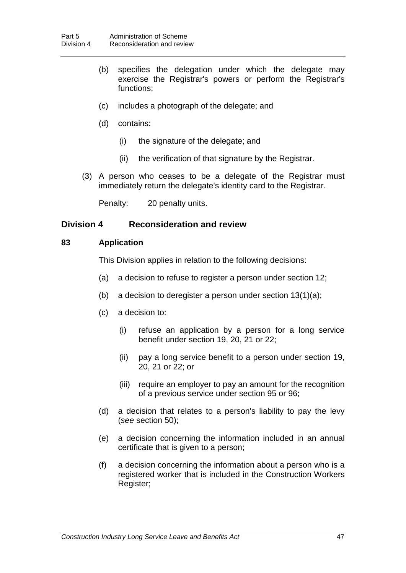- (b) specifies the delegation under which the delegate may exercise the Registrar's powers or perform the Registrar's functions;
- (c) includes a photograph of the delegate; and
- (d) contains:
	- (i) the signature of the delegate; and
	- (ii) the verification of that signature by the Registrar.
- (3) A person who ceases to be a delegate of the Registrar must immediately return the delegate's identity card to the Registrar.

Penalty: 20 penalty units.

## **Division 4 Reconsideration and review**

## **83 Application**

This Division applies in relation to the following decisions:

- (a) a decision to refuse to register a person under section 12;
- (b) a decision to deregister a person under section 13(1)(a);
- (c) a decision to:
	- (i) refuse an application by a person for a long service benefit under section 19, 20, 21 or 22;
	- (ii) pay a long service benefit to a person under section 19, 20, 21 or 22; or
	- (iii) require an employer to pay an amount for the recognition of a previous service under section 95 or 96;
- (d) a decision that relates to a person's liability to pay the levy (*see* section 50);
- (e) a decision concerning the information included in an annual certificate that is given to a person;
- (f) a decision concerning the information about a person who is a registered worker that is included in the Construction Workers Register;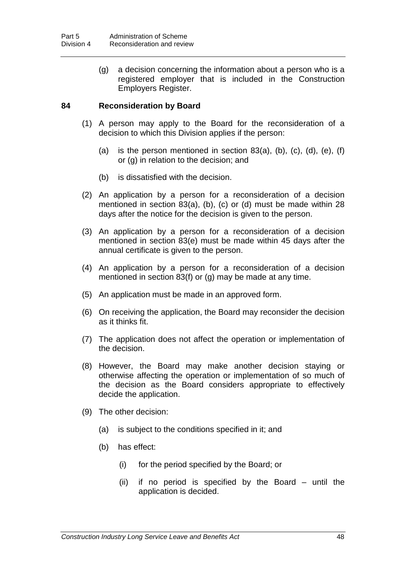(g) a decision concerning the information about a person who is a registered employer that is included in the Construction Employers Register.

## **84 Reconsideration by Board**

- (1) A person may apply to the Board for the reconsideration of a decision to which this Division applies if the person:
	- (a) is the person mentioned in section  $83(a)$ , (b), (c), (d), (e), (f) or (g) in relation to the decision; and
	- (b) is dissatisfied with the decision.
- (2) An application by a person for a reconsideration of a decision mentioned in section 83(a), (b), (c) or (d) must be made within 28 days after the notice for the decision is given to the person.
- (3) An application by a person for a reconsideration of a decision mentioned in section 83(e) must be made within 45 days after the annual certificate is given to the person.
- (4) An application by a person for a reconsideration of a decision mentioned in section 83(f) or (g) may be made at any time.
- (5) An application must be made in an approved form.
- (6) On receiving the application, the Board may reconsider the decision as it thinks fit.
- (7) The application does not affect the operation or implementation of the decision.
- (8) However, the Board may make another decision staying or otherwise affecting the operation or implementation of so much of the decision as the Board considers appropriate to effectively decide the application.
- (9) The other decision:
	- (a) is subject to the conditions specified in it; and
	- (b) has effect:
		- (i) for the period specified by the Board; or
		- (ii) if no period is specified by the Board until the application is decided.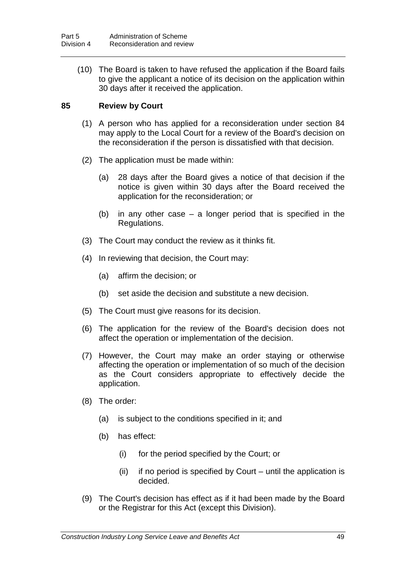(10) The Board is taken to have refused the application if the Board fails to give the applicant a notice of its decision on the application within 30 days after it received the application.

## **85 Review by Court**

- (1) A person who has applied for a reconsideration under section 84 may apply to the Local Court for a review of the Board's decision on the reconsideration if the person is dissatisfied with that decision.
- (2) The application must be made within:
	- (a) 28 days after the Board gives a notice of that decision if the notice is given within 30 days after the Board received the application for the reconsideration; or
	- (b) in any other case a longer period that is specified in the Regulations.
- (3) The Court may conduct the review as it thinks fit.
- (4) In reviewing that decision, the Court may:
	- (a) affirm the decision; or
	- (b) set aside the decision and substitute a new decision.
- (5) The Court must give reasons for its decision.
- (6) The application for the review of the Board's decision does not affect the operation or implementation of the decision.
- (7) However, the Court may make an order staying or otherwise affecting the operation or implementation of so much of the decision as the Court considers appropriate to effectively decide the application.
- (8) The order:
	- (a) is subject to the conditions specified in it; and
	- (b) has effect:
		- (i) for the period specified by the Court; or
		- (ii) if no period is specified by Court until the application is decided.
- (9) The Court's decision has effect as if it had been made by the Board or the Registrar for this Act (except this Division).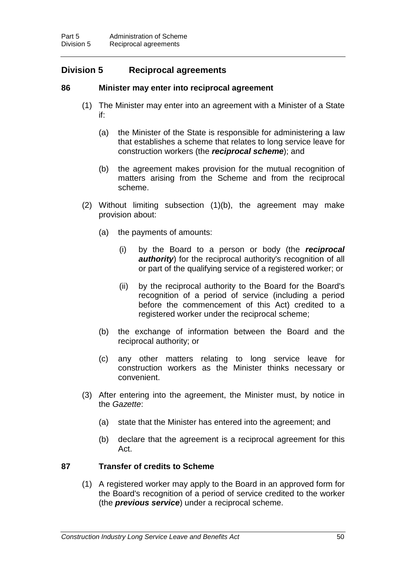## **Division 5 Reciprocal agreements**

## **86 Minister may enter into reciprocal agreement**

- (1) The Minister may enter into an agreement with a Minister of a State if:
	- (a) the Minister of the State is responsible for administering a law that establishes a scheme that relates to long service leave for construction workers (the *reciprocal scheme*); and
	- (b) the agreement makes provision for the mutual recognition of matters arising from the Scheme and from the reciprocal scheme.
- (2) Without limiting subsection (1)(b), the agreement may make provision about:
	- (a) the payments of amounts:
		- (i) by the Board to a person or body (the *reciprocal authority*) for the reciprocal authority's recognition of all or part of the qualifying service of a registered worker; or
		- (ii) by the reciprocal authority to the Board for the Board's recognition of a period of service (including a period before the commencement of this Act) credited to a registered worker under the reciprocal scheme;
	- (b) the exchange of information between the Board and the reciprocal authority; or
	- (c) any other matters relating to long service leave for construction workers as the Minister thinks necessary or convenient.
- (3) After entering into the agreement, the Minister must, by notice in the *Gazette*:
	- (a) state that the Minister has entered into the agreement; and
	- (b) declare that the agreement is a reciprocal agreement for this Act.

## **87 Transfer of credits to Scheme**

(1) A registered worker may apply to the Board in an approved form for the Board's recognition of a period of service credited to the worker (the *previous service*) under a reciprocal scheme.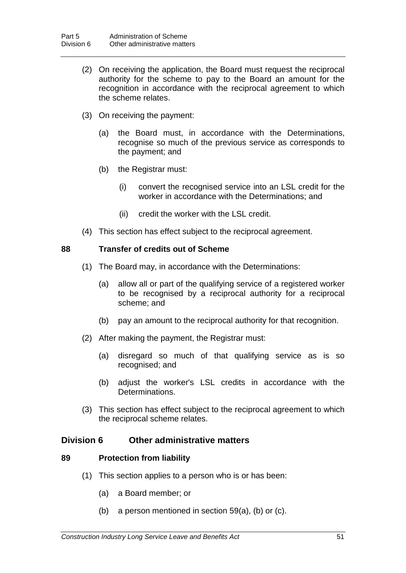- (2) On receiving the application, the Board must request the reciprocal authority for the scheme to pay to the Board an amount for the recognition in accordance with the reciprocal agreement to which the scheme relates.
- (3) On receiving the payment:
	- (a) the Board must, in accordance with the Determinations, recognise so much of the previous service as corresponds to the payment; and
	- (b) the Registrar must:
		- (i) convert the recognised service into an LSL credit for the worker in accordance with the Determinations; and
		- (ii) credit the worker with the LSL credit.
- (4) This section has effect subject to the reciprocal agreement.

#### **88 Transfer of credits out of Scheme**

- (1) The Board may, in accordance with the Determinations:
	- (a) allow all or part of the qualifying service of a registered worker to be recognised by a reciprocal authority for a reciprocal scheme; and
	- (b) pay an amount to the reciprocal authority for that recognition.
- (2) After making the payment, the Registrar must:
	- (a) disregard so much of that qualifying service as is so recognised; and
	- (b) adjust the worker's LSL credits in accordance with the Determinations.
- (3) This section has effect subject to the reciprocal agreement to which the reciprocal scheme relates.

## **Division 6 Other administrative matters**

## **89 Protection from liability**

- (1) This section applies to a person who is or has been:
	- (a) a Board member; or
	- (b) a person mentioned in section 59(a), (b) or (c).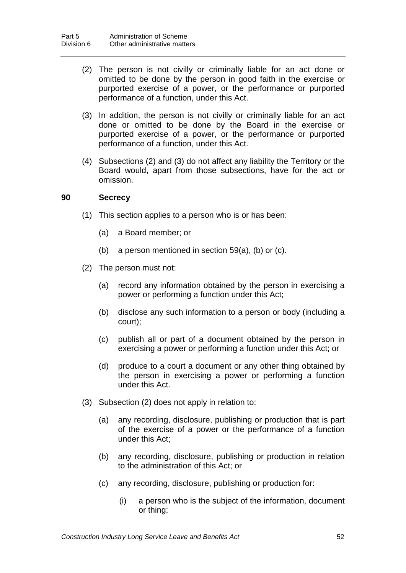- (2) The person is not civilly or criminally liable for an act done or omitted to be done by the person in good faith in the exercise or purported exercise of a power, or the performance or purported performance of a function, under this Act.
- (3) In addition, the person is not civilly or criminally liable for an act done or omitted to be done by the Board in the exercise or purported exercise of a power, or the performance or purported performance of a function, under this Act.
- (4) Subsections (2) and (3) do not affect any liability the Territory or the Board would, apart from those subsections, have for the act or omission.

#### **90 Secrecy**

- (1) This section applies to a person who is or has been:
	- (a) a Board member; or
	- (b) a person mentioned in section 59(a), (b) or (c).
- (2) The person must not:
	- (a) record any information obtained by the person in exercising a power or performing a function under this Act;
	- (b) disclose any such information to a person or body (including a court);
	- (c) publish all or part of a document obtained by the person in exercising a power or performing a function under this Act; or
	- (d) produce to a court a document or any other thing obtained by the person in exercising a power or performing a function under this Act.
- (3) Subsection (2) does not apply in relation to:
	- (a) any recording, disclosure, publishing or production that is part of the exercise of a power or the performance of a function under this Act;
	- (b) any recording, disclosure, publishing or production in relation to the administration of this Act; or
	- (c) any recording, disclosure, publishing or production for:
		- (i) a person who is the subject of the information, document or thing;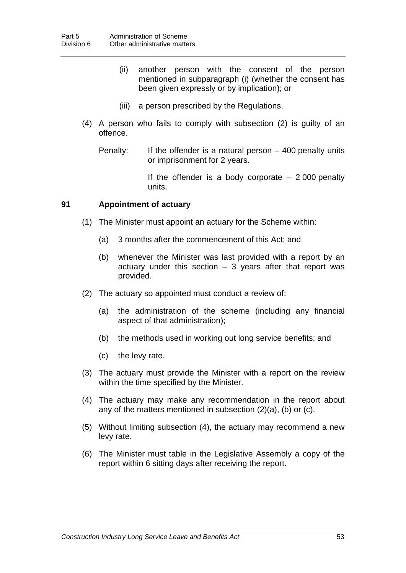- (ii) another person with the consent of the person mentioned in subparagraph (i) (whether the consent has been given expressly or by implication); or
- (iii) a person prescribed by the Regulations.
- (4) A person who fails to comply with subsection (2) is guilty of an offence.
	- Penalty: If the offender is a natural person 400 penalty units or imprisonment for 2 years.

If the offender is a body corporate  $-2000$  penalty units.

## **91 Appointment of actuary**

- (1) The Minister must appoint an actuary for the Scheme within:
	- (a) 3 months after the commencement of this Act; and
	- (b) whenever the Minister was last provided with a report by an actuary under this section  $-3$  years after that report was provided.
- (2) The actuary so appointed must conduct a review of:
	- (a) the administration of the scheme (including any financial aspect of that administration);
	- (b) the methods used in working out long service benefits; and
	- (c) the levy rate.
- (3) The actuary must provide the Minister with a report on the review within the time specified by the Minister.
- (4) The actuary may make any recommendation in the report about any of the matters mentioned in subsection (2)(a), (b) or (c).
- (5) Without limiting subsection (4), the actuary may recommend a new levy rate.
- (6) The Minister must table in the Legislative Assembly a copy of the report within 6 sitting days after receiving the report.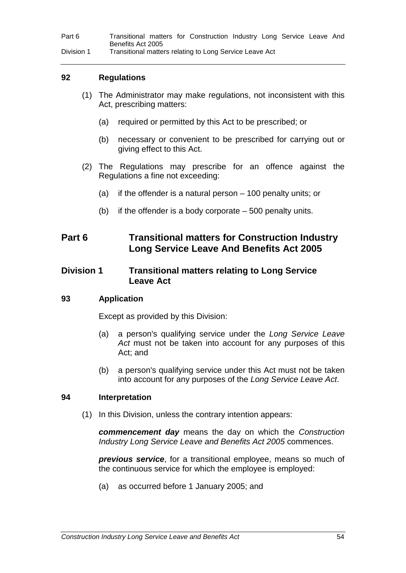Part 6 Transitional matters for Construction Industry Long Service Leave And Benefits Act 2005 Division 1 Transitional matters relating to Long Service Leave Act

#### **92 Regulations**

- (1) The Administrator may make regulations, not inconsistent with this Act, prescribing matters:
	- (a) required or permitted by this Act to be prescribed; or
	- (b) necessary or convenient to be prescribed for carrying out or giving effect to this Act.
- (2) The Regulations may prescribe for an offence against the Regulations a fine not exceeding:
	- (a) if the offender is a natural person 100 penalty units; or
	- (b) if the offender is a body corporate 500 penalty units.

## **Part 6 Transitional matters for Construction Industry Long Service Leave And Benefits Act 2005**

## **Division 1 Transitional matters relating to Long Service Leave Act**

#### **93 Application**

Except as provided by this Division:

- (a) a person's qualifying service under the *Long Service Leave Act* must not be taken into account for any purposes of this Act; and
- (b) a person's qualifying service under this Act must not be taken into account for any purposes of the *Long Service Leave Act*.

#### **94 Interpretation**

(1) In this Division, unless the contrary intention appears:

*commencement day* means the day on which the *Construction Industry Long Service Leave and Benefits Act 2005* commences.

*previous service*, for a transitional employee, means so much of the continuous service for which the employee is employed:

(a) as occurred before 1 January 2005; and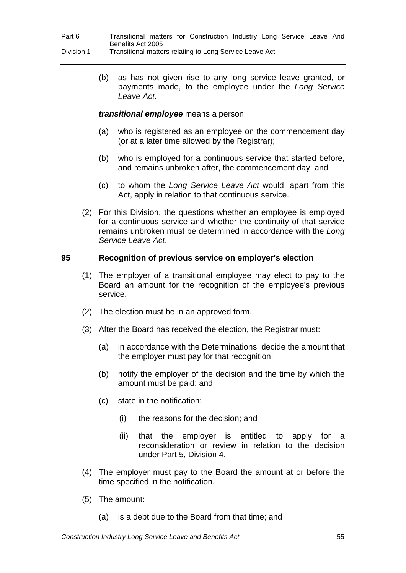(b) as has not given rise to any long service leave granted, or payments made, to the employee under the *Long Service Leave Act*.

## *transitional employee* means a person:

- (a) who is registered as an employee on the commencement day (or at a later time allowed by the Registrar);
- (b) who is employed for a continuous service that started before, and remains unbroken after, the commencement day; and
- (c) to whom the *Long Service Leave Act* would, apart from this Act, apply in relation to that continuous service.
- (2) For this Division, the questions whether an employee is employed for a continuous service and whether the continuity of that service remains unbroken must be determined in accordance with the *Long Service Leave Act*.

## **95 Recognition of previous service on employer's election**

- (1) The employer of a transitional employee may elect to pay to the Board an amount for the recognition of the employee's previous service.
- (2) The election must be in an approved form.
- (3) After the Board has received the election, the Registrar must:
	- (a) in accordance with the Determinations, decide the amount that the employer must pay for that recognition;
	- (b) notify the employer of the decision and the time by which the amount must be paid; and
	- (c) state in the notification:
		- (i) the reasons for the decision; and
		- (ii) that the employer is entitled to apply for a reconsideration or review in relation to the decision under Part 5, Division 4.
- (4) The employer must pay to the Board the amount at or before the time specified in the notification.
- (5) The amount:
	- (a) is a debt due to the Board from that time; and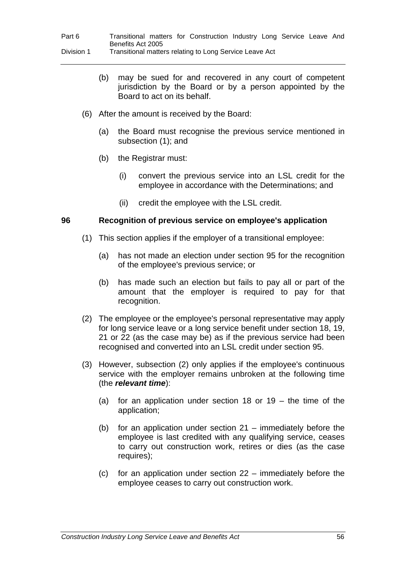- (b) may be sued for and recovered in any court of competent jurisdiction by the Board or by a person appointed by the Board to act on its behalf.
- (6) After the amount is received by the Board:
	- (a) the Board must recognise the previous service mentioned in subsection (1); and
	- (b) the Registrar must:
		- (i) convert the previous service into an LSL credit for the employee in accordance with the Determinations; and
		- (ii) credit the employee with the LSL credit.

## **96 Recognition of previous service on employee's application**

- (1) This section applies if the employer of a transitional employee:
	- (a) has not made an election under section 95 for the recognition of the employee's previous service; or
	- (b) has made such an election but fails to pay all or part of the amount that the employer is required to pay for that recognition.
- (2) The employee or the employee's personal representative may apply for long service leave or a long service benefit under section 18, 19, 21 or 22 (as the case may be) as if the previous service had been recognised and converted into an LSL credit under section 95.
- (3) However, subsection (2) only applies if the employee's continuous service with the employer remains unbroken at the following time (the *relevant time*):
	- (a) for an application under section 18 or 19 the time of the application;
	- (b) for an application under section 21 immediately before the employee is last credited with any qualifying service, ceases to carry out construction work, retires or dies (as the case requires);
	- (c) for an application under section 22 immediately before the employee ceases to carry out construction work.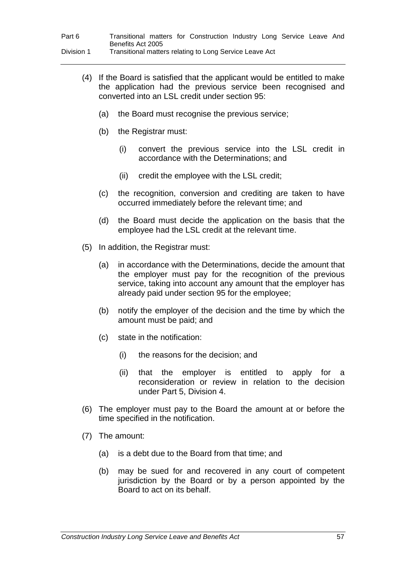| Part 6     |                   |  | Transitional matters for Construction Industry Long Service Leave And |  |  |  |
|------------|-------------------|--|-----------------------------------------------------------------------|--|--|--|
|            | Benefits Act 2005 |  |                                                                       |  |  |  |
| Division 1 |                   |  | Transitional matters relating to Long Service Leave Act               |  |  |  |

- (4) If the Board is satisfied that the applicant would be entitled to make the application had the previous service been recognised and converted into an LSL credit under section 95:
	- (a) the Board must recognise the previous service;
	- (b) the Registrar must:
		- (i) convert the previous service into the LSL credit in accordance with the Determinations; and
		- (ii) credit the employee with the LSL credit;
	- (c) the recognition, conversion and crediting are taken to have occurred immediately before the relevant time; and
	- (d) the Board must decide the application on the basis that the employee had the LSL credit at the relevant time.
- (5) In addition, the Registrar must:
	- (a) in accordance with the Determinations, decide the amount that the employer must pay for the recognition of the previous service, taking into account any amount that the employer has already paid under section 95 for the employee;
	- (b) notify the employer of the decision and the time by which the amount must be paid; and
	- (c) state in the notification:
		- (i) the reasons for the decision; and
		- (ii) that the employer is entitled to apply for a reconsideration or review in relation to the decision under Part 5, Division 4.
- (6) The employer must pay to the Board the amount at or before the time specified in the notification.
- (7) The amount:
	- (a) is a debt due to the Board from that time; and
	- (b) may be sued for and recovered in any court of competent jurisdiction by the Board or by a person appointed by the Board to act on its behalf.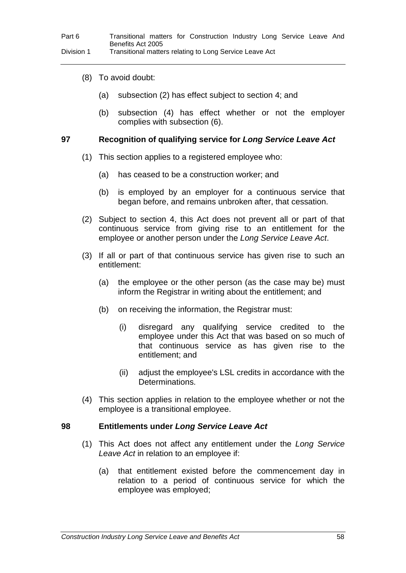- (8) To avoid doubt:
	- (a) subsection (2) has effect subject to section 4; and
	- (b) subsection (4) has effect whether or not the employer complies with subsection (6).

### **97 Recognition of qualifying service for** *Long Service Leave Act*

- (1) This section applies to a registered employee who:
	- (a) has ceased to be a construction worker; and
	- (b) is employed by an employer for a continuous service that began before, and remains unbroken after, that cessation.
- (2) Subject to section 4, this Act does not prevent all or part of that continuous service from giving rise to an entitlement for the employee or another person under the *Long Service Leave Act*.
- (3) If all or part of that continuous service has given rise to such an entitlement:
	- (a) the employee or the other person (as the case may be) must inform the Registrar in writing about the entitlement; and
	- (b) on receiving the information, the Registrar must:
		- (i) disregard any qualifying service credited to the employee under this Act that was based on so much of that continuous service as has given rise to the entitlement; and
		- (ii) adjust the employee's LSL credits in accordance with the Determinations.
- (4) This section applies in relation to the employee whether or not the employee is a transitional employee.

#### **98 Entitlements under** *Long Service Leave Act*

- (1) This Act does not affect any entitlement under the *Long Service Leave Act* in relation to an employee if:
	- (a) that entitlement existed before the commencement day in relation to a period of continuous service for which the employee was employed;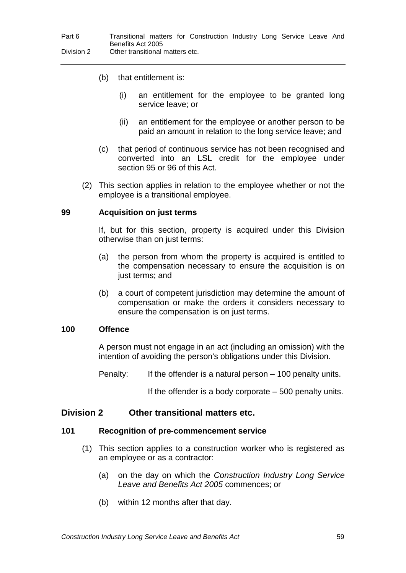- (b) that entitlement is:
	- (i) an entitlement for the employee to be granted long service leave; or
	- (ii) an entitlement for the employee or another person to be paid an amount in relation to the long service leave; and
- (c) that period of continuous service has not been recognised and converted into an LSL credit for the employee under section 95 or 96 of this Act.
- (2) This section applies in relation to the employee whether or not the employee is a transitional employee.

#### **99 Acquisition on just terms**

If, but for this section, property is acquired under this Division otherwise than on just terms:

- (a) the person from whom the property is acquired is entitled to the compensation necessary to ensure the acquisition is on just terms; and
- (b) a court of competent jurisdiction may determine the amount of compensation or make the orders it considers necessary to ensure the compensation is on just terms.

#### **100 Offence**

A person must not engage in an act (including an omission) with the intention of avoiding the person's obligations under this Division.

Penalty: If the offender is a natural person – 100 penalty units.

If the offender is a body corporate – 500 penalty units.

## **Division 2 Other transitional matters etc.**

#### **101 Recognition of pre-commencement service**

- (1) This section applies to a construction worker who is registered as an employee or as a contractor:
	- (a) on the day on which the *Construction Industry Long Service Leave and Benefits Act 2005* commences; or
	- (b) within 12 months after that day.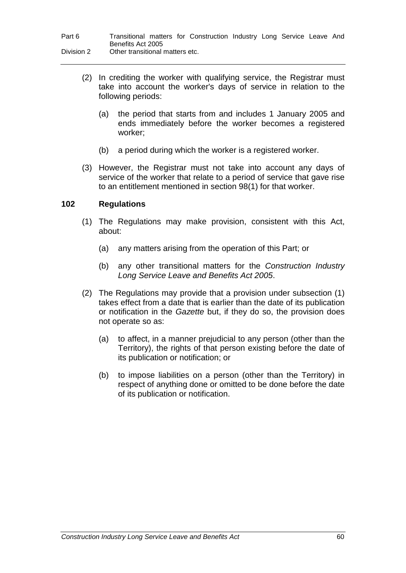| Part 6     | Transitional matters for Construction Industry Long Service Leave And |
|------------|-----------------------------------------------------------------------|
|            | Benefits Act 2005                                                     |
| Division 2 | Other transitional matters etc.                                       |

- (2) In crediting the worker with qualifying service, the Registrar must take into account the worker's days of service in relation to the following periods:
	- (a) the period that starts from and includes 1 January 2005 and ends immediately before the worker becomes a registered worker;
	- (b) a period during which the worker is a registered worker.
- (3) However, the Registrar must not take into account any days of service of the worker that relate to a period of service that gave rise to an entitlement mentioned in section 98(1) for that worker.

## **102 Regulations**

- (1) The Regulations may make provision, consistent with this Act, about:
	- (a) any matters arising from the operation of this Part; or
	- (b) any other transitional matters for the *Construction Industry Long Service Leave and Benefits Act 2005*.
- (2) The Regulations may provide that a provision under subsection (1) takes effect from a date that is earlier than the date of its publication or notification in the *Gazette* but, if they do so, the provision does not operate so as:
	- (a) to affect, in a manner prejudicial to any person (other than the Territory), the rights of that person existing before the date of its publication or notification; or
	- (b) to impose liabilities on a person (other than the Territory) in respect of anything done or omitted to be done before the date of its publication or notification.